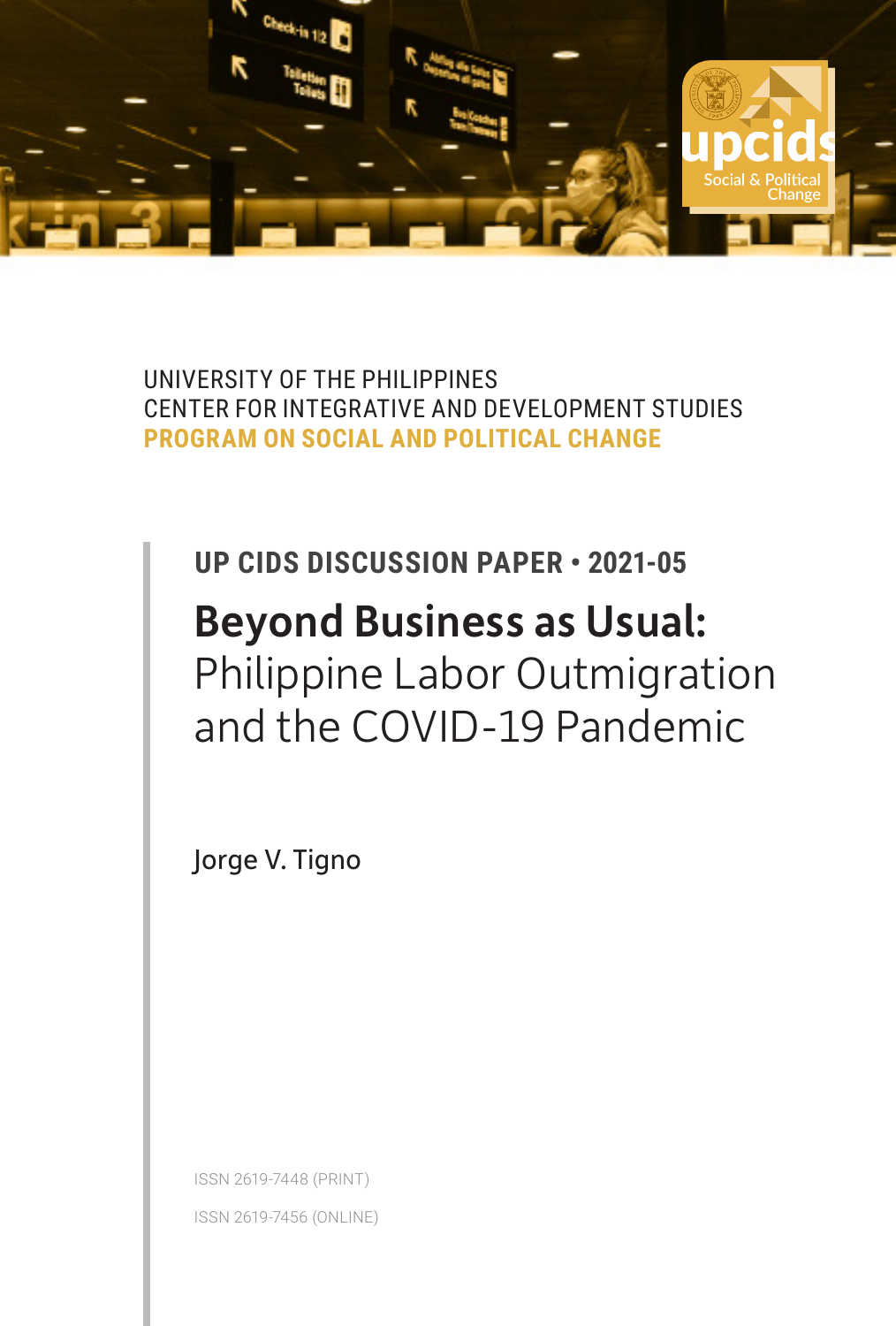

UNIVERSITY OF THE PHILIPPINES CENTER FOR INTEGRATIVE AND DEVELOPMENT STUDIES **PROGRAM ON SOCIAL AND POLITICAL CHANGE**

# **UP CIDS DISCUSSION PAPER • 2021-05** Beyond Business as Usual: Philippine Labor Outmigration and the COVID-19 Pandemic

Jorge V. Tigno

ISSN 2619-7448 (PRINT) ISSN 2619-7456 (ONLINE)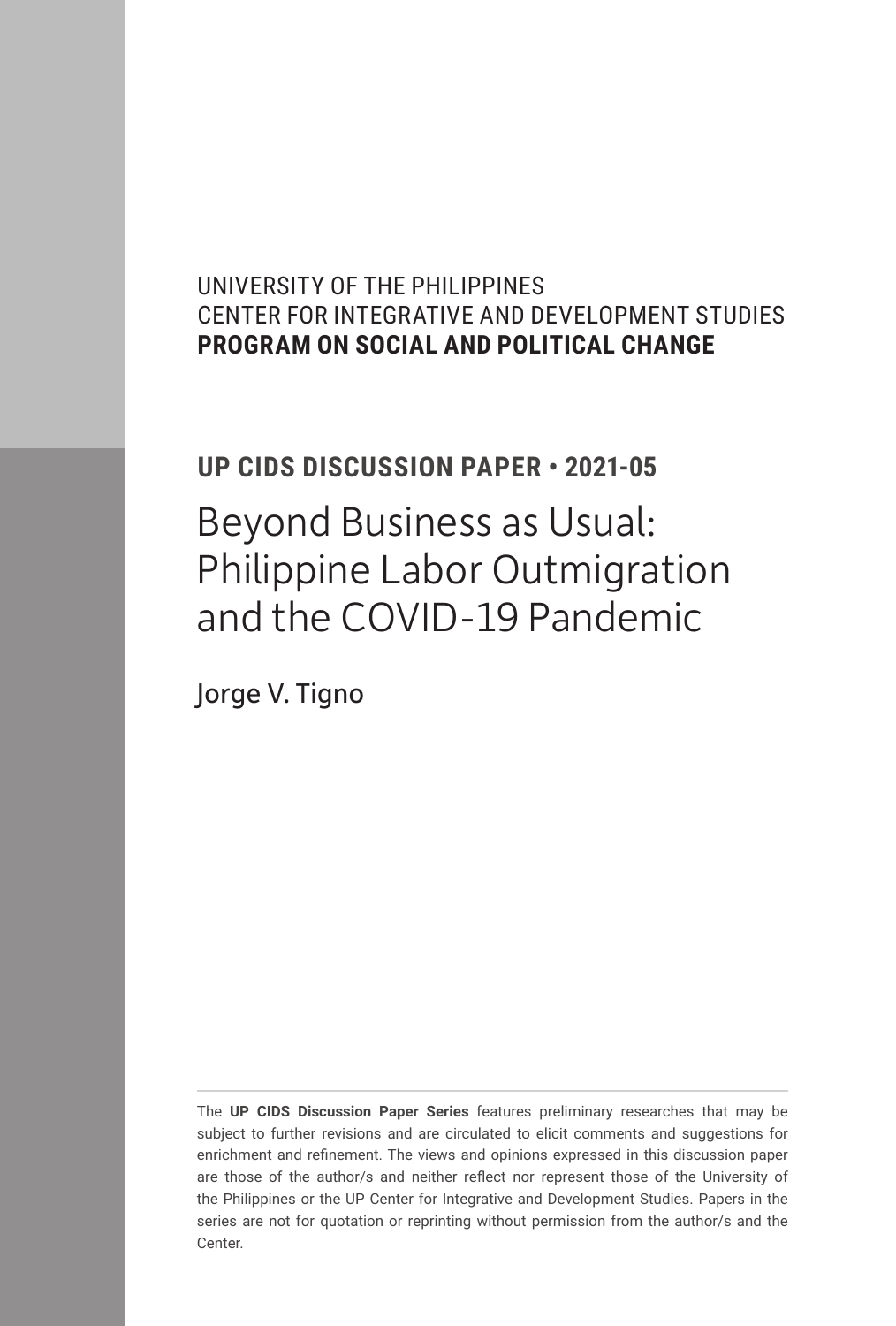## UNIVERSITY OF THE PHILIPPINES CENTER FOR INTEGRATIVE AND DEVELOPMENT STUDIES **PROGRAM ON SOCIAL AND POLITICAL CHANGE**

## **UP CIDS DISCUSSION PAPER • 2021-05**

Beyond Business as Usual: Philippine Labor Outmigration and the COVID-19 Pandemic

Jorge V. Tigno

The **UP CIDS Discussion Paper Series** features preliminary researches that may be subject to further revisions and are circulated to elicit comments and suggestions for enrichment and refinement. The views and opinions expressed in this discussion paper are those of the author/s and neither reflect nor represent those of the University of the Philippines or the UP Center for Integrative and Development Studies. Papers in the series are not for quotation or reprinting without permission from the author/s and the Center.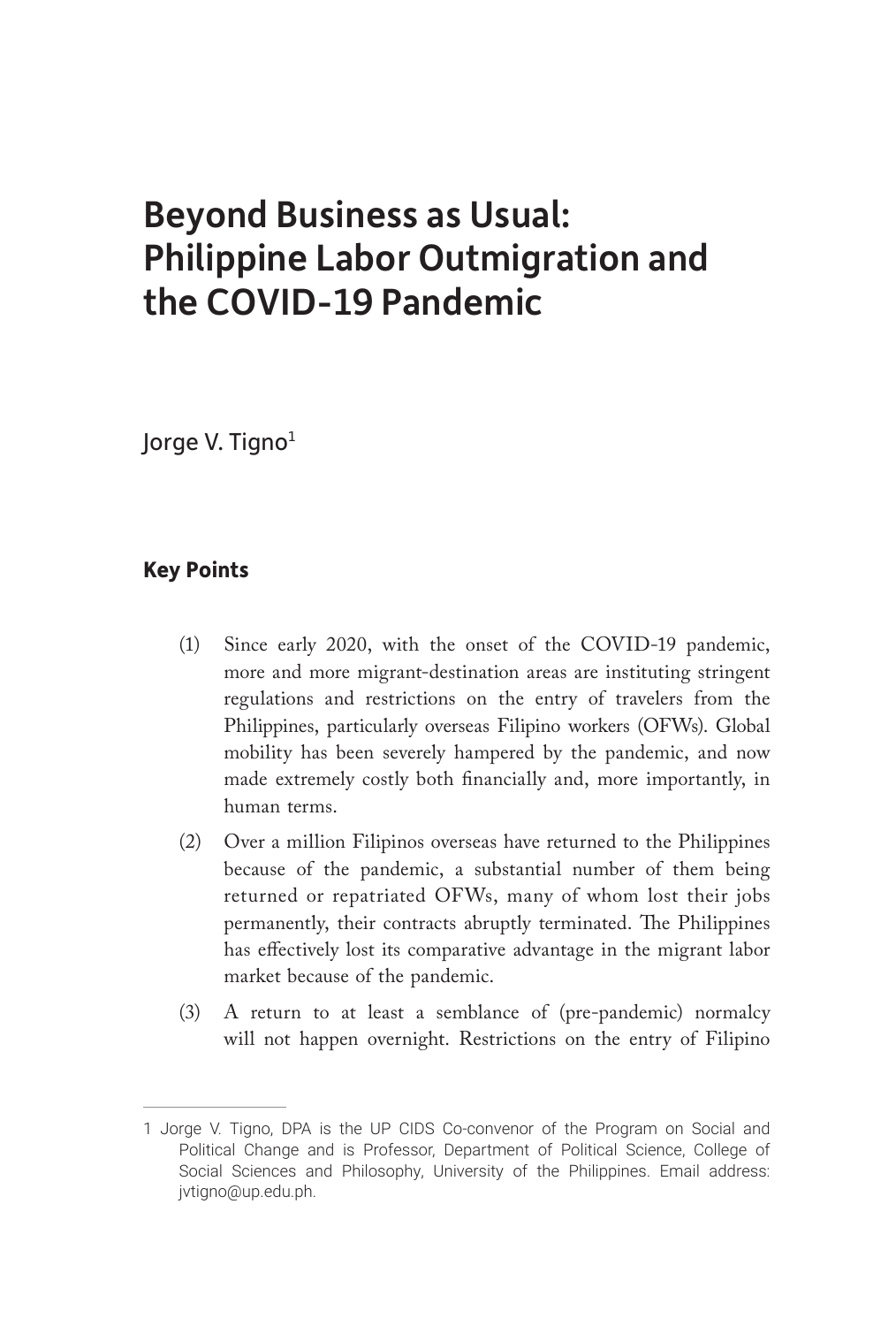## Beyond Business as Usual: Philippine Labor Outmigration and the COVID-19 Pandemic

Jorge V. Tigno<sup>1</sup>

## **Key Points**

- (1) Since early 2020, with the onset of the COVID-19 pandemic, more and more migrant-destination areas are instituting stringent regulations and restrictions on the entry of travelers from the Philippines, particularly overseas Filipino workers (OFWs). Global mobility has been severely hampered by the pandemic, and now made extremely costly both financially and, more importantly, in human terms.
- (2) Over a million Filipinos overseas have returned to the Philippines because of the pandemic, a substantial number of them being returned or repatriated OFWs, many of whom lost their jobs permanently, their contracts abruptly terminated. The Philippines has effectively lost its comparative advantage in the migrant labor market because of the pandemic.
- (3) A return to at least a semblance of (pre-pandemic) normalcy will not happen overnight. Restrictions on the entry of Filipino

<sup>1</sup> Jorge V. Tigno, DPA is the UP CIDS Co-convenor of the Program on Social and Political Change and is Professor, Department of Political Science, College of Social Sciences and Philosophy, University of the Philippines. Email address: jvtigno@up.edu.ph.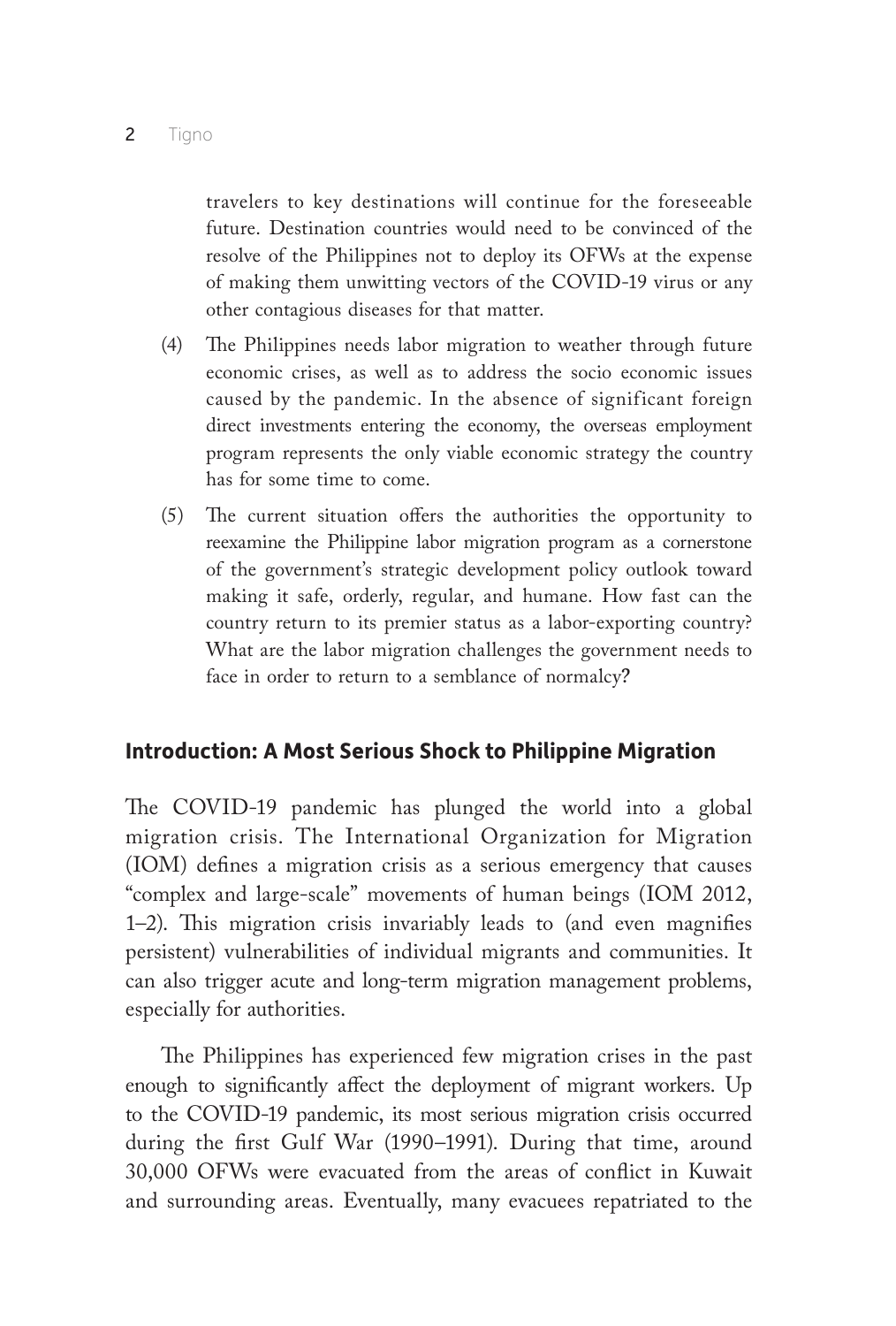travelers to key destinations will continue for the foreseeable future. Destination countries would need to be convinced of the resolve of the Philippines not to deploy its OFWs at the expense of making them unwitting vectors of the COVID-19 virus or any other contagious diseases for that matter.

- (4) The Philippines needs labor migration to weather through future economic crises, as well as to address the socio economic issues caused by the pandemic. In the absence of significant foreign direct investments entering the economy, the overseas employment program represents the only viable economic strategy the country has for some time to come.
- (5) The current situation offers the authorities the opportunity to reexamine the Philippine labor migration program as a cornerstone of the government's strategic development policy outlook toward making it safe, orderly, regular, and humane. How fast can the country return to its premier status as a labor-exporting country? What are the labor migration challenges the government needs to face in order to return to a semblance of normalcy?

## **Introduction: A Most Serious Shock to Philippine Migration**

The COVID-19 pandemic has plunged the world into a global migration crisis. The International Organization for Migration (IOM) defines a migration crisis as a serious emergency that causes "complex and large-scale" movements of human beings (IOM 2012, 1–2). This migration crisis invariably leads to (and even magnifies persistent) vulnerabilities of individual migrants and communities. It can also trigger acute and long-term migration management problems, especially for authorities.

The Philippines has experienced few migration crises in the past enough to significantly affect the deployment of migrant workers. Up to the COVID-19 pandemic, its most serious migration crisis occurred during the first Gulf War (1990–1991). During that time, around 30,000 OFWs were evacuated from the areas of conflict in Kuwait and surrounding areas. Eventually, many evacuees repatriated to the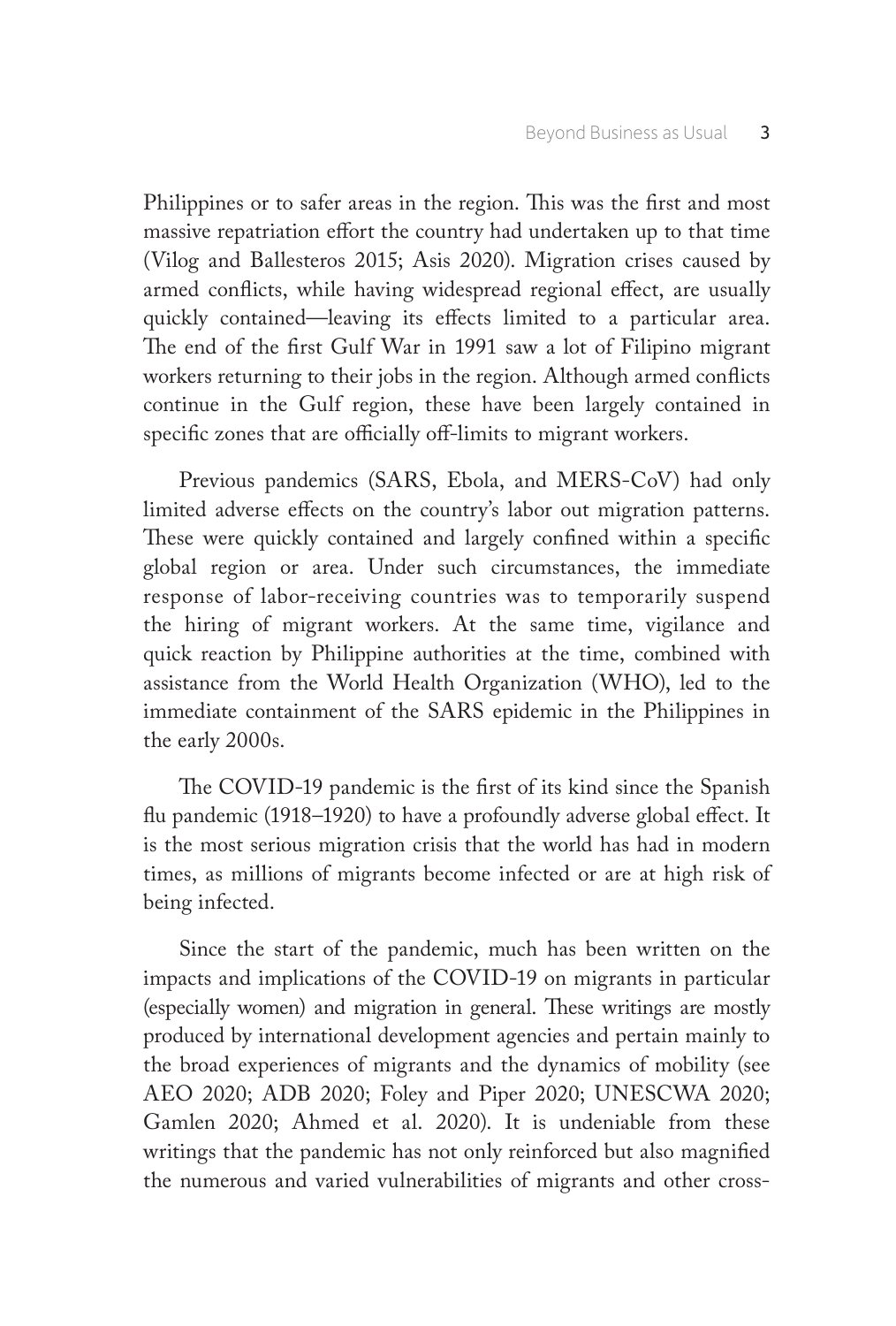Philippines or to safer areas in the region. This was the first and most massive repatriation effort the country had undertaken up to that time (Vilog and Ballesteros 2015; Asis 2020). Migration crises caused by armed conflicts, while having widespread regional effect, are usually quickly contained—leaving its effects limited to a particular area. The end of the first Gulf War in 1991 saw a lot of Filipino migrant workers returning to their jobs in the region. Although armed conflicts continue in the Gulf region, these have been largely contained in specific zones that are officially off-limits to migrant workers.

Previous pandemics (SARS, Ebola, and MERS-CoV) had only limited adverse effects on the country's labor out migration patterns. These were quickly contained and largely confined within a specific global region or area. Under such circumstances, the immediate response of labor-receiving countries was to temporarily suspend the hiring of migrant workers. At the same time, vigilance and quick reaction by Philippine authorities at the time, combined with assistance from the World Health Organization (WHO), led to the immediate containment of the SARS epidemic in the Philippines in the early 2000s.

The COVID-19 pandemic is the first of its kind since the Spanish flu pandemic (1918–1920) to have a profoundly adverse global effect. It is the most serious migration crisis that the world has had in modern times, as millions of migrants become infected or are at high risk of being infected.

Since the start of the pandemic, much has been written on the impacts and implications of the COVID-19 on migrants in particular (especially women) and migration in general. These writings are mostly produced by international development agencies and pertain mainly to the broad experiences of migrants and the dynamics of mobility (see AEO 2020; ADB 2020; Foley and Piper 2020; UNESCWA 2020; Gamlen 2020; Ahmed et al. 2020). It is undeniable from these writings that the pandemic has not only reinforced but also magnified the numerous and varied vulnerabilities of migrants and other cross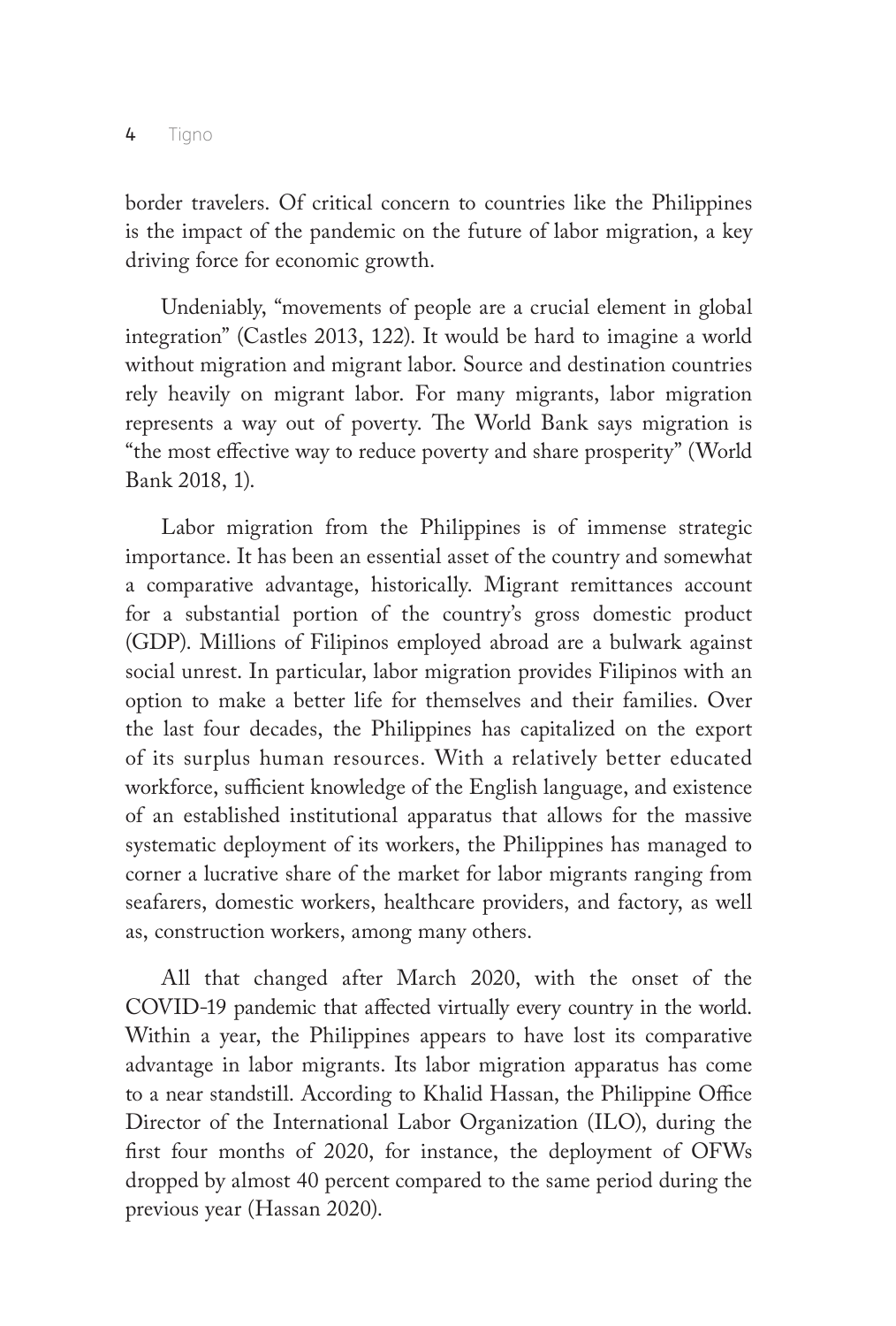border travelers. Of critical concern to countries like the Philippines is the impact of the pandemic on the future of labor migration, a key driving force for economic growth.

Undeniably, "movements of people are a crucial element in global integration" (Castles 2013, 122). It would be hard to imagine a world without migration and migrant labor. Source and destination countries rely heavily on migrant labor. For many migrants, labor migration represents a way out of poverty. The World Bank says migration is "the most effective way to reduce poverty and share prosperity" (World Bank 2018, 1).

Labor migration from the Philippines is of immense strategic importance. It has been an essential asset of the country and somewhat a comparative advantage, historically. Migrant remittances account for a substantial portion of the country's gross domestic product (GDP). Millions of Filipinos employed abroad are a bulwark against social unrest. In particular, labor migration provides Filipinos with an option to make a better life for themselves and their families. Over the last four decades, the Philippines has capitalized on the export of its surplus human resources. With a relatively better educated workforce, sufficient knowledge of the English language, and existence of an established institutional apparatus that allows for the massive systematic deployment of its workers, the Philippines has managed to corner a lucrative share of the market for labor migrants ranging from seafarers, domestic workers, healthcare providers, and factory, as well as, construction workers, among many others.

All that changed after March 2020, with the onset of the COVID-19 pandemic that affected virtually every country in the world. Within a year, the Philippines appears to have lost its comparative advantage in labor migrants. Its labor migration apparatus has come to a near standstill. According to Khalid Hassan, the Philippine Office Director of the International Labor Organization (ILO), during the first four months of 2020, for instance, the deployment of OFWs dropped by almost 40 percent compared to the same period during the previous year (Hassan 2020).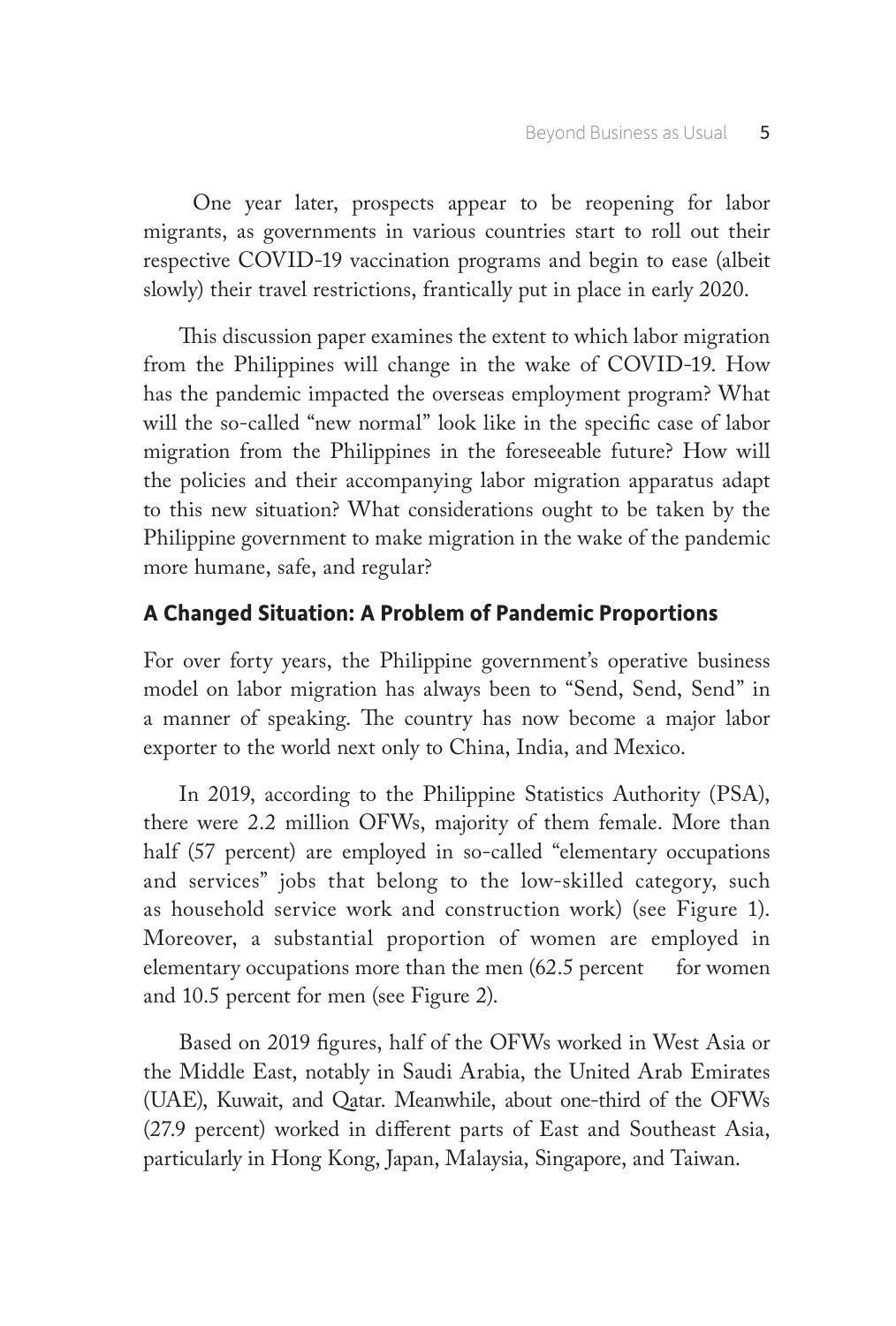One year later, prospects appear to be reopening for labor migrants, as governments in various countries start to roll out their respective COVID-19 vaccination programs and begin to ease (albeit slowly) their travel restrictions, frantically put in place in early 2020.

This discussion paper examines the extent to which labor migration from the Philippines will change in the wake of COVID-19. How has the pandemic impacted the overseas employment program? What will the so-called "new normal" look like in the specific case of labor migration from the Philippines in the foreseeable future? How will the policies and their accompanying labor migration apparatus adapt to this new situation? What considerations ought to be taken by the Philippine government to make migration in the wake of the pandemic more humane, safe, and regular?

## **A Changed Situation: A Problem of Pandemic Proportions**

For over forty years, the Philippine government's operative business model on labor migration has always been to "Send, Send, Send" in a manner of speaking. The country has now become a major labor exporter to the world next only to China, India, and Mexico.

In 2019, according to the Philippine Statistics Authority (PSA), there were 2.2 million OFWs, majority of them female. More than half (57 percent) are employed in so-called "elementary occupations and services" jobs that belong to the low-skilled category, such as household service work and construction work) (see Figure 1). Moreover, a substantial proportion of women are employed in elementary occupations more than the men  $(62.5)$  percent for women and 10.5 percent for men (see Figure 2).

Based on 2019 figures, half of the OFWs worked in West Asia or the Middle East, notably in Saudi Arabia, the United Arab Emirates (UAE), Kuwait, and Qatar. Meanwhile, about one-third of the OFWs (27.9 percent) worked in different parts of East and Southeast Asia, particularly in Hong Kong, Japan, Malaysia, Singapore, and Taiwan.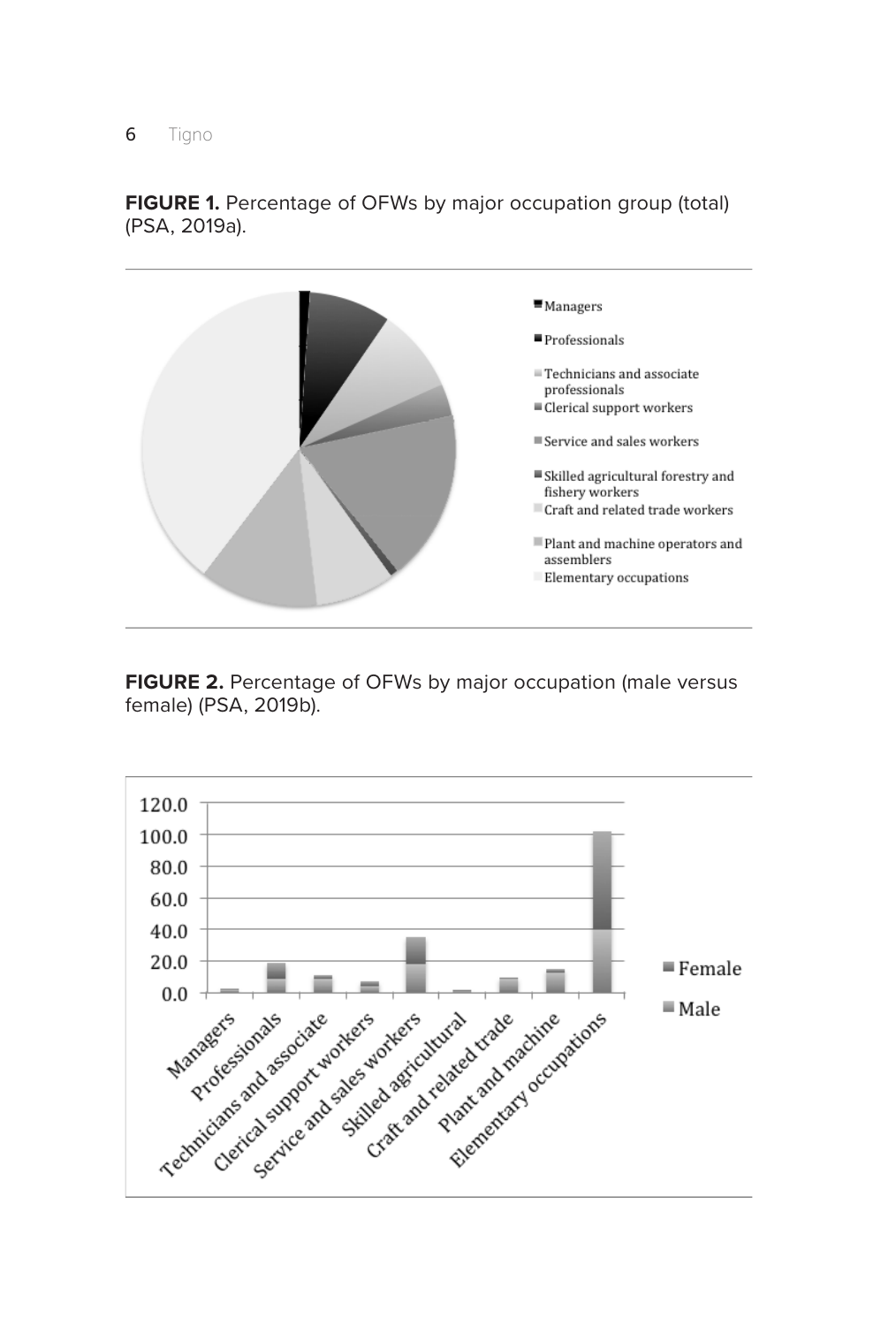#### **6** Tigno



**FIGURE 1.** Percentage of OFWs by major occupation group (total) (PSA, 2019a).

**FIGURE 2.** Percentage of OFWs by major occupation (male versus female) (PSA, 2019b).

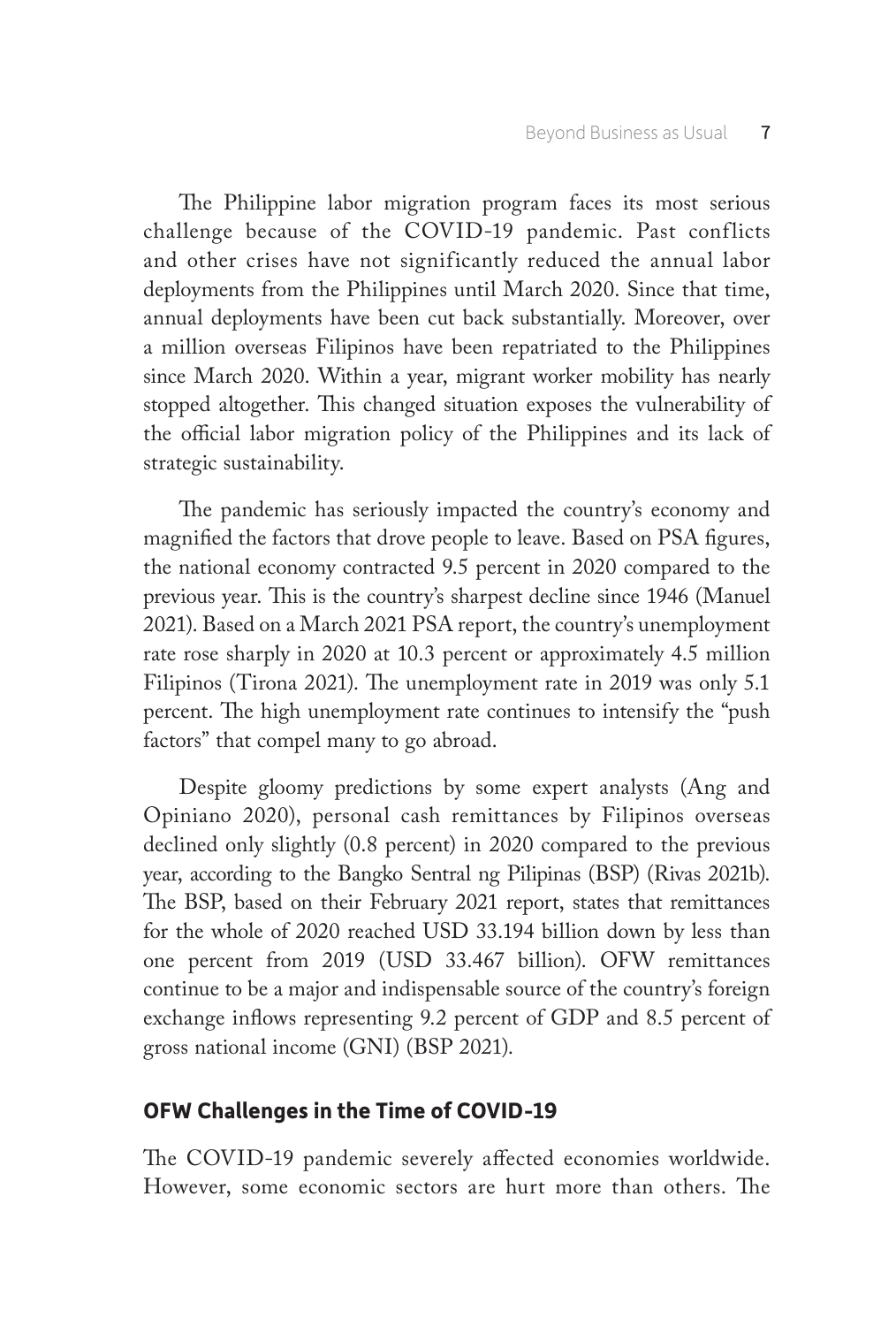The Philippine labor migration program faces its most serious challenge because of the COVID-19 pandemic. Past conflicts and other crises have not significantly reduced the annual labor deployments from the Philippines until March 2020. Since that time, annual deployments have been cut back substantially. Moreover, over a million overseas Filipinos have been repatriated to the Philippines since March 2020. Within a year, migrant worker mobility has nearly stopped altogether. This changed situation exposes the vulnerability of the official labor migration policy of the Philippines and its lack of strategic sustainability.

The pandemic has seriously impacted the country's economy and magnified the factors that drove people to leave. Based on PSA figures, the national economy contracted 9.5 percent in 2020 compared to the previous year. This is the country's sharpest decline since 1946 (Manuel 2021). Based on a March 2021 PSA report, the country's unemployment rate rose sharply in 2020 at 10.3 percent or approximately 4.5 million Filipinos (Tirona 2021). The unemployment rate in 2019 was only 5.1 percent. The high unemployment rate continues to intensify the "push factors" that compel many to go abroad.

Despite gloomy predictions by some expert analysts (Ang and Opiniano 2020), personal cash remittances by Filipinos overseas declined only slightly (0.8 percent) in 2020 compared to the previous year, according to the Bangko Sentral ng Pilipinas (BSP) (Rivas 2021b). The BSP, based on their February 2021 report, states that remittances for the whole of 2020 reached USD 33.194 billion down by less than one percent from 2019 (USD 33.467 billion). OFW remittances continue to be a major and indispensable source of the country's foreign exchange inflows representing 9.2 percent of GDP and 8.5 percent of gross national income (GNI) (BSP 2021).

## **OFW Challenges in the Time of COVID-19**

The COVID-19 pandemic severely affected economies worldwide. However, some economic sectors are hurt more than others. The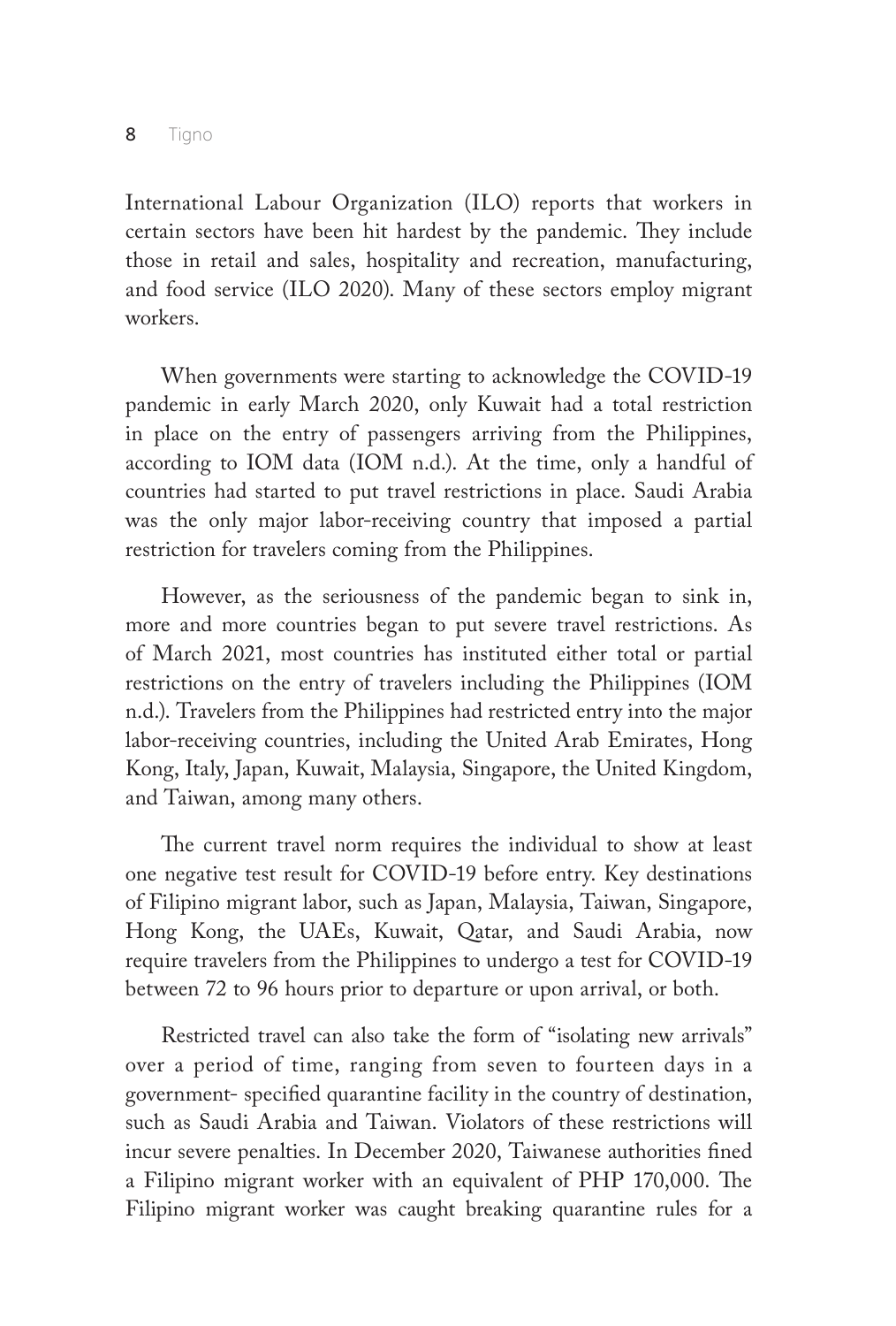8 Tigno

International Labour Organization (ILO) reports that workers in certain sectors have been hit hardest by the pandemic. They include those in retail and sales, hospitality and recreation, manufacturing, and food service (ILO 2020). Many of these sectors employ migrant workers.

When governments were starting to acknowledge the COVID-19 pandemic in early March 2020, only Kuwait had a total restriction in place on the entry of passengers arriving from the Philippines, according to IOM data (IOM n.d.). At the time, only a handful of countries had started to put travel restrictions in place. Saudi Arabia was the only major labor-receiving country that imposed a partial restriction for travelers coming from the Philippines.

However, as the seriousness of the pandemic began to sink in, more and more countries began to put severe travel restrictions. As of March 2021, most countries has instituted either total or partial restrictions on the entry of travelers including the Philippines (IOM n.d.). Travelers from the Philippines had restricted entry into the major labor-receiving countries, including the United Arab Emirates, Hong Kong, Italy, Japan, Kuwait, Malaysia, Singapore, the United Kingdom, and Taiwan, among many others.

The current travel norm requires the individual to show at least one negative test result for COVID-19 before entry. Key destinations of Filipino migrant labor, such as Japan, Malaysia, Taiwan, Singapore, Hong Kong, the UAEs, Kuwait, Qatar, and Saudi Arabia, now require travelers from the Philippines to undergo a test for COVID-19 between 72 to 96 hours prior to departure or upon arrival, or both.

Restricted travel can also take the form of "isolating new arrivals" over a period of time, ranging from seven to fourteen days in a government- specified quarantine facility in the country of destination, such as Saudi Arabia and Taiwan. Violators of these restrictions will incur severe penalties. In December 2020, Taiwanese authorities fined a Filipino migrant worker with an equivalent of PHP 170,000. The Filipino migrant worker was caught breaking quarantine rules for a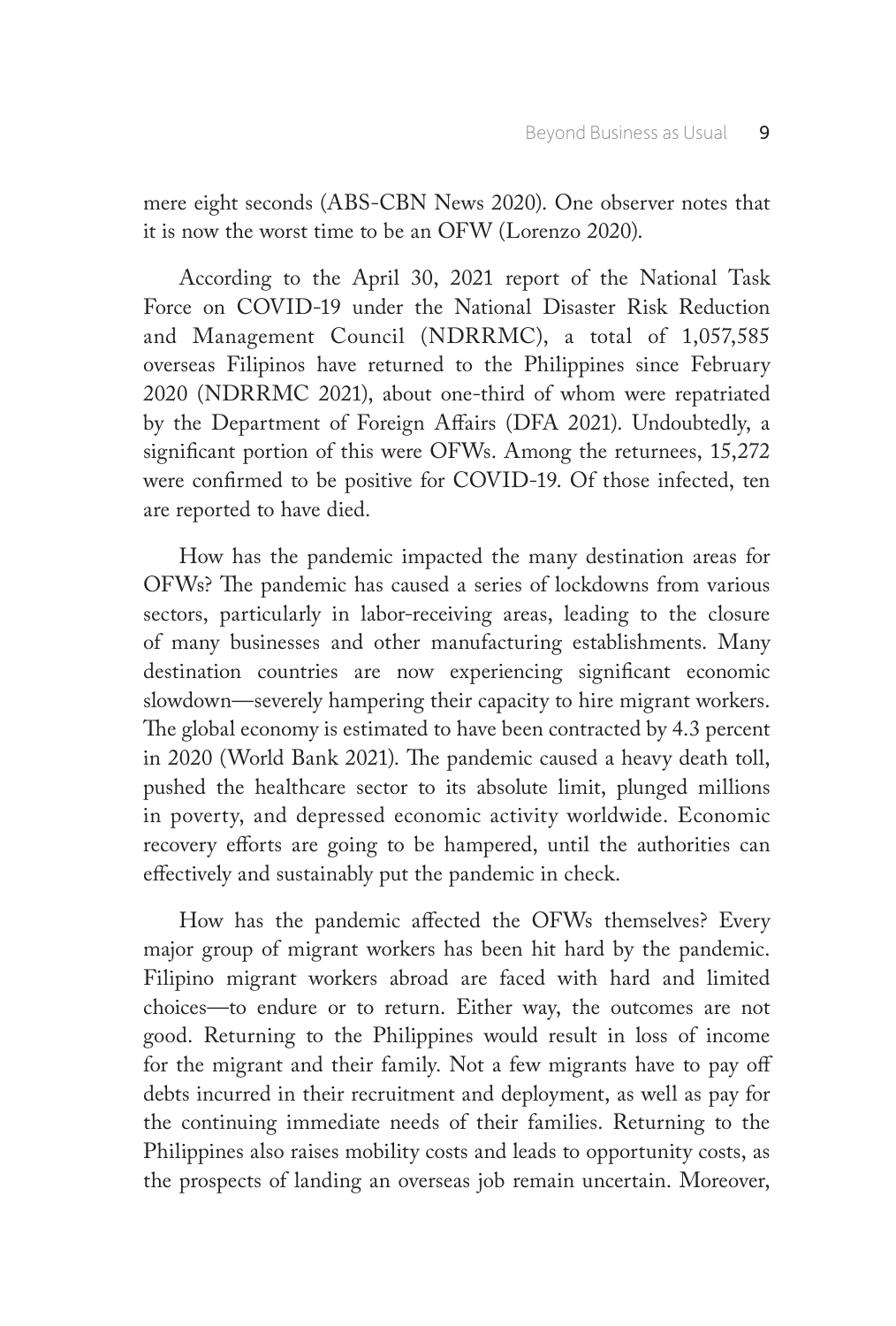mere eight seconds (ABS-CBN News 2020). One observer notes that it is now the worst time to be an OFW (Lorenzo 2020).

According to the April 30, 2021 report of the National Task Force on COVID-19 under the National Disaster Risk Reduction and Management Council (NDRRMC), a total of 1,057,585 overseas Filipinos have returned to the Philippines since February 2020 (NDRRMC 2021), about one-third of whom were repatriated by the Department of Foreign Affairs (DFA 2021). Undoubtedly, a significant portion of this were OFWs. Among the returnees, 15,272 were confirmed to be positive for COVID-19. Of those infected, ten are reported to have died.

How has the pandemic impacted the many destination areas for OFWs? The pandemic has caused a series of lockdowns from various sectors, particularly in labor-receiving areas, leading to the closure of many businesses and other manufacturing establishments. Many destination countries are now experiencing significant economic slowdown—severely hampering their capacity to hire migrant workers. The global economy is estimated to have been contracted by 4.3 percent in 2020 (World Bank 2021). The pandemic caused a heavy death toll, pushed the healthcare sector to its absolute limit, plunged millions in poverty, and depressed economic activity worldwide. Economic recovery efforts are going to be hampered, until the authorities can effectively and sustainably put the pandemic in check.

How has the pandemic affected the OFWs themselves? Every major group of migrant workers has been hit hard by the pandemic. Filipino migrant workers abroad are faced with hard and limited choices—to endure or to return. Either way, the outcomes are not good. Returning to the Philippines would result in loss of income for the migrant and their family. Not a few migrants have to pay off debts incurred in their recruitment and deployment, as well as pay for the continuing immediate needs of their families. Returning to the Philippines also raises mobility costs and leads to opportunity costs, as the prospects of landing an overseas job remain uncertain. Moreover,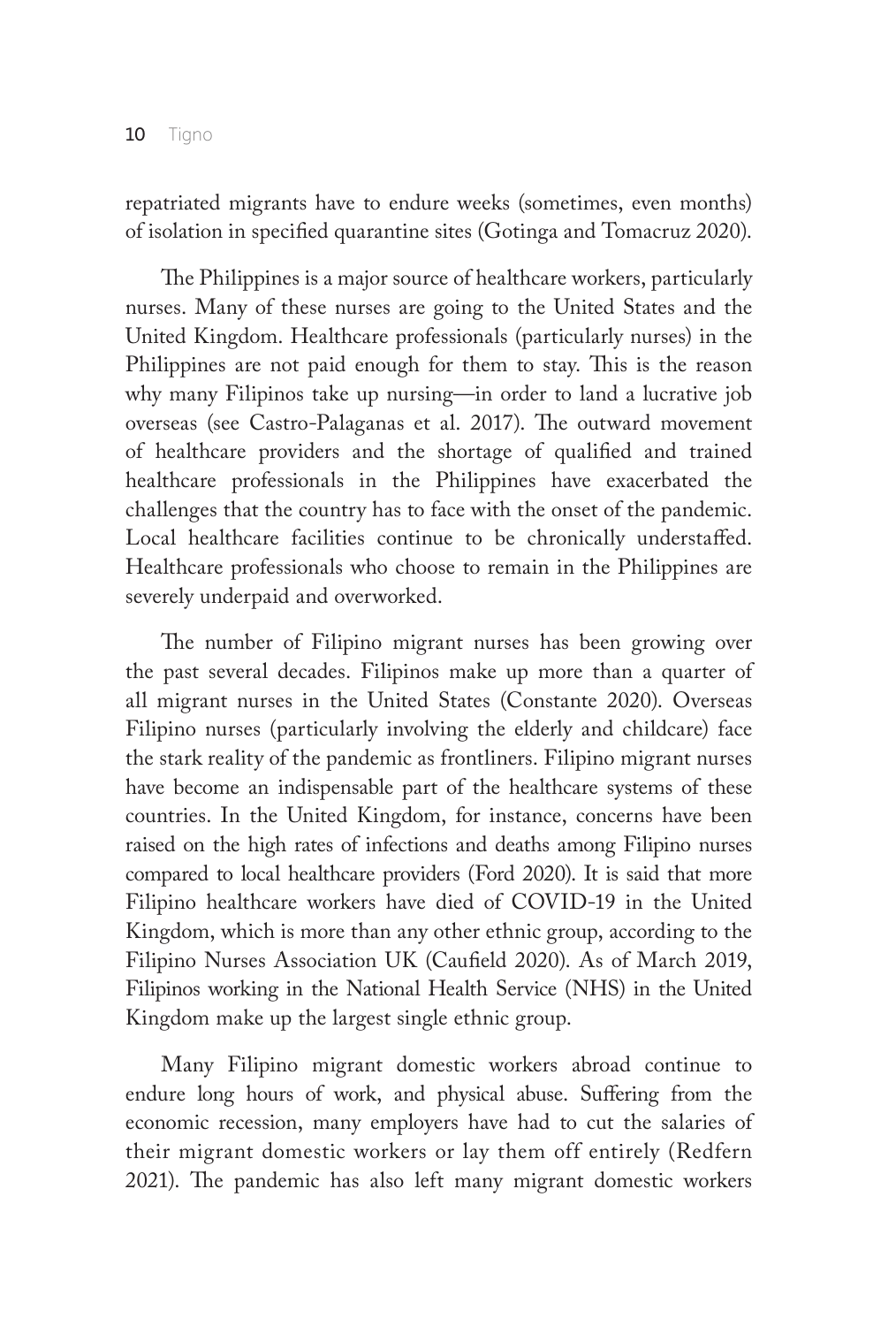repatriated migrants have to endure weeks (sometimes, even months) of isolation in specified quarantine sites (Gotinga and Tomacruz 2020).

The Philippines is a major source of healthcare workers, particularly nurses. Many of these nurses are going to the United States and the United Kingdom. Healthcare professionals (particularly nurses) in the Philippines are not paid enough for them to stay. This is the reason why many Filipinos take up nursing—in order to land a lucrative job overseas (see Castro-Palaganas et al. 2017). The outward movement of healthcare providers and the shortage of qualified and trained healthcare professionals in the Philippines have exacerbated the challenges that the country has to face with the onset of the pandemic. Local healthcare facilities continue to be chronically understaffed. Healthcare professionals who choose to remain in the Philippines are severely underpaid and overworked.

The number of Filipino migrant nurses has been growing over the past several decades. Filipinos make up more than a quarter of all migrant nurses in the United States (Constante 2020). Overseas Filipino nurses (particularly involving the elderly and childcare) face the stark reality of the pandemic as frontliners. Filipino migrant nurses have become an indispensable part of the healthcare systems of these countries. In the United Kingdom, for instance, concerns have been raised on the high rates of infections and deaths among Filipino nurses compared to local healthcare providers (Ford 2020). It is said that more Filipino healthcare workers have died of COVID-19 in the United Kingdom, which is more than any other ethnic group, according to the Filipino Nurses Association UK (Caufield 2020). As of March 2019, Filipinos working in the National Health Service (NHS) in the United Kingdom make up the largest single ethnic group.

Many Filipino migrant domestic workers abroad continue to endure long hours of work, and physical abuse. Suffering from the economic recession, many employers have had to cut the salaries of their migrant domestic workers or lay them off entirely (Redfern 2021). The pandemic has also left many migrant domestic workers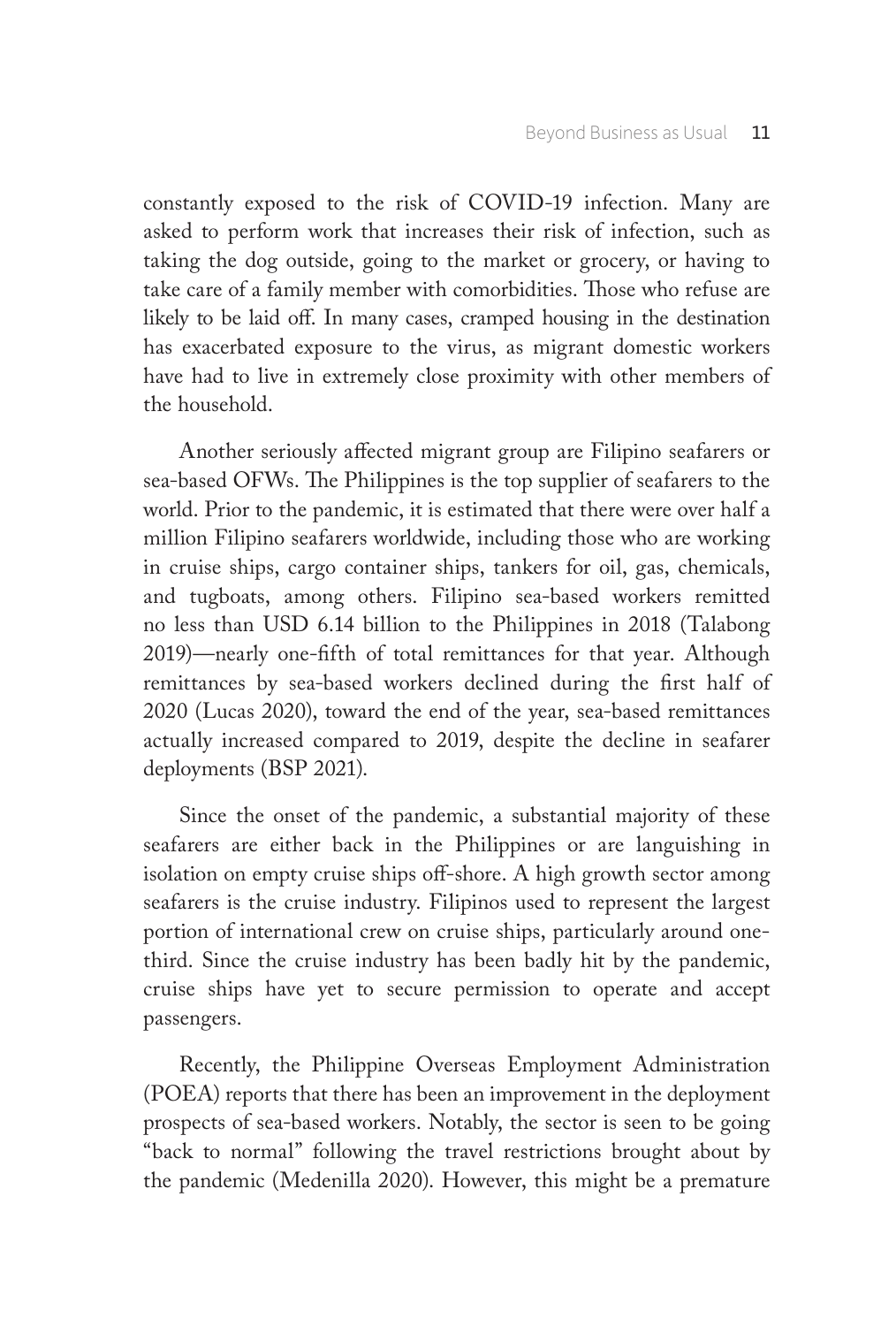constantly exposed to the risk of COVID-19 infection. Many are asked to perform work that increases their risk of infection, such as taking the dog outside, going to the market or grocery, or having to take care of a family member with comorbidities. Those who refuse are likely to be laid off. In many cases, cramped housing in the destination has exacerbated exposure to the virus, as migrant domestic workers have had to live in extremely close proximity with other members of the household.

Another seriously affected migrant group are Filipino seafarers or sea-based OFWs. The Philippines is the top supplier of seafarers to the world. Prior to the pandemic, it is estimated that there were over half a million Filipino seafarers worldwide, including those who are working in cruise ships, cargo container ships, tankers for oil, gas, chemicals, and tugboats, among others. Filipino sea-based workers remitted no less than USD 6.14 billion to the Philippines in 2018 (Talabong 2019)—nearly one-fifth of total remittances for that year. Although remittances by sea-based workers declined during the first half of 2020 (Lucas 2020), toward the end of the year, sea-based remittances actually increased compared to 2019, despite the decline in seafarer deployments (BSP 2021).

Since the onset of the pandemic, a substantial majority of these seafarers are either back in the Philippines or are languishing in isolation on empty cruise ships off-shore. A high growth sector among seafarers is the cruise industry. Filipinos used to represent the largest portion of international crew on cruise ships, particularly around onethird. Since the cruise industry has been badly hit by the pandemic, cruise ships have yet to secure permission to operate and accept passengers.

Recently, the Philippine Overseas Employment Administration (POEA) reports that there has been an improvement in the deployment prospects of sea-based workers. Notably, the sector is seen to be going "back to normal" following the travel restrictions brought about by the pandemic (Medenilla 2020). However, this might be a premature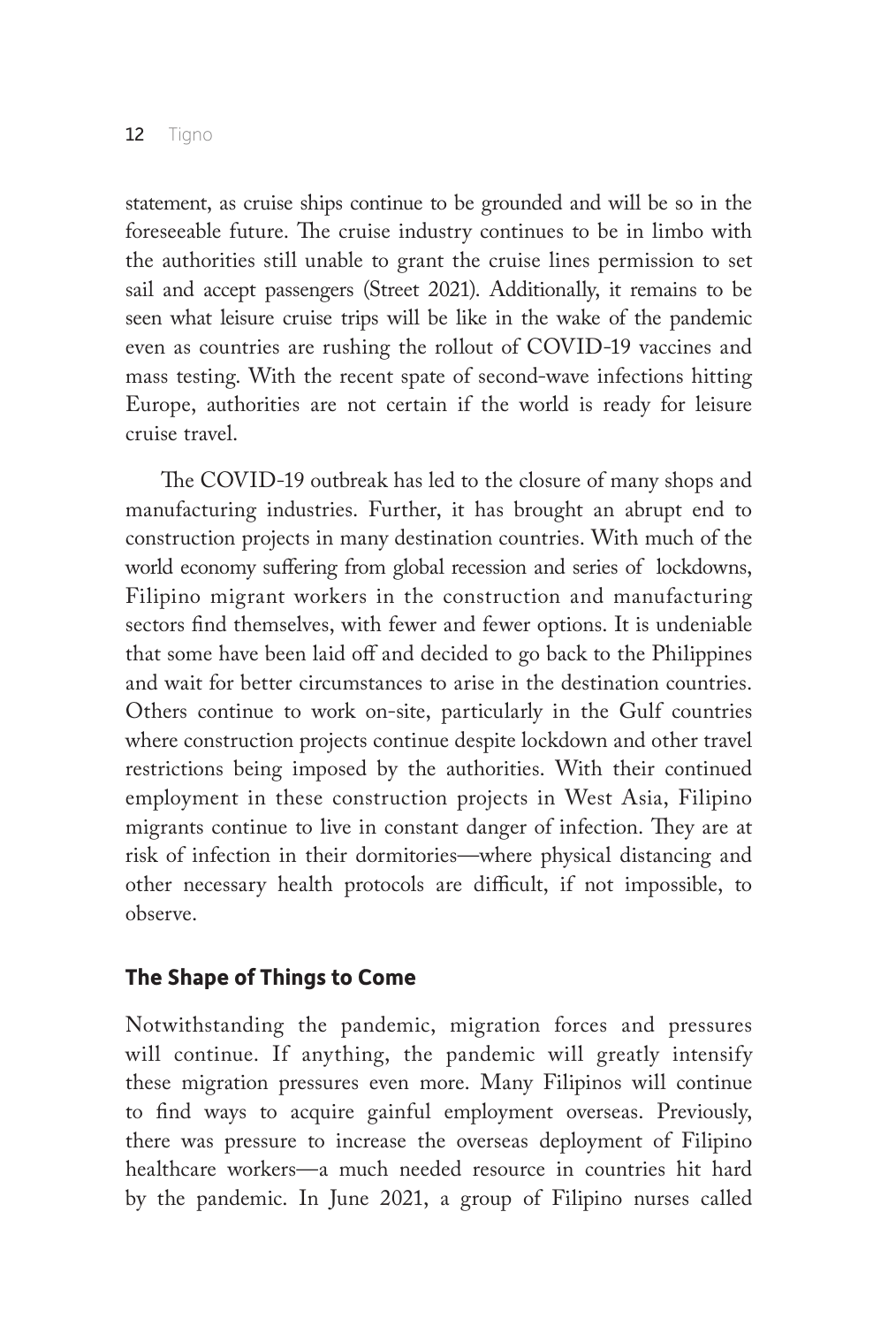statement, as cruise ships continue to be grounded and will be so in the foreseeable future. The cruise industry continues to be in limbo with the authorities still unable to grant the cruise lines permission to set sail and accept passengers (Street 2021). Additionally, it remains to be seen what leisure cruise trips will be like in the wake of the pandemic even as countries are rushing the rollout of COVID-19 vaccines and mass testing. With the recent spate of second-wave infections hitting Europe, authorities are not certain if the world is ready for leisure cruise travel.

The COVID-19 outbreak has led to the closure of many shops and manufacturing industries. Further, it has brought an abrupt end to construction projects in many destination countries. With much of the world economy suffering from global recession and series of lockdowns, Filipino migrant workers in the construction and manufacturing sectors find themselves, with fewer and fewer options. It is undeniable that some have been laid off and decided to go back to the Philippines and wait for better circumstances to arise in the destination countries. Others continue to work on-site, particularly in the Gulf countries where construction projects continue despite lockdown and other travel restrictions being imposed by the authorities. With their continued employment in these construction projects in West Asia, Filipino migrants continue to live in constant danger of infection. They are at risk of infection in their dormitories—where physical distancing and other necessary health protocols are difficult, if not impossible, to observe.

## **The Shape of Things to Come**

Notwithstanding the pandemic, migration forces and pressures will continue. If anything, the pandemic will greatly intensify these migration pressures even more. Many Filipinos will continue to find ways to acquire gainful employment overseas. Previously, there was pressure to increase the overseas deployment of Filipino healthcare workers—a much needed resource in countries hit hard by the pandemic. In June 2021, a group of Filipino nurses called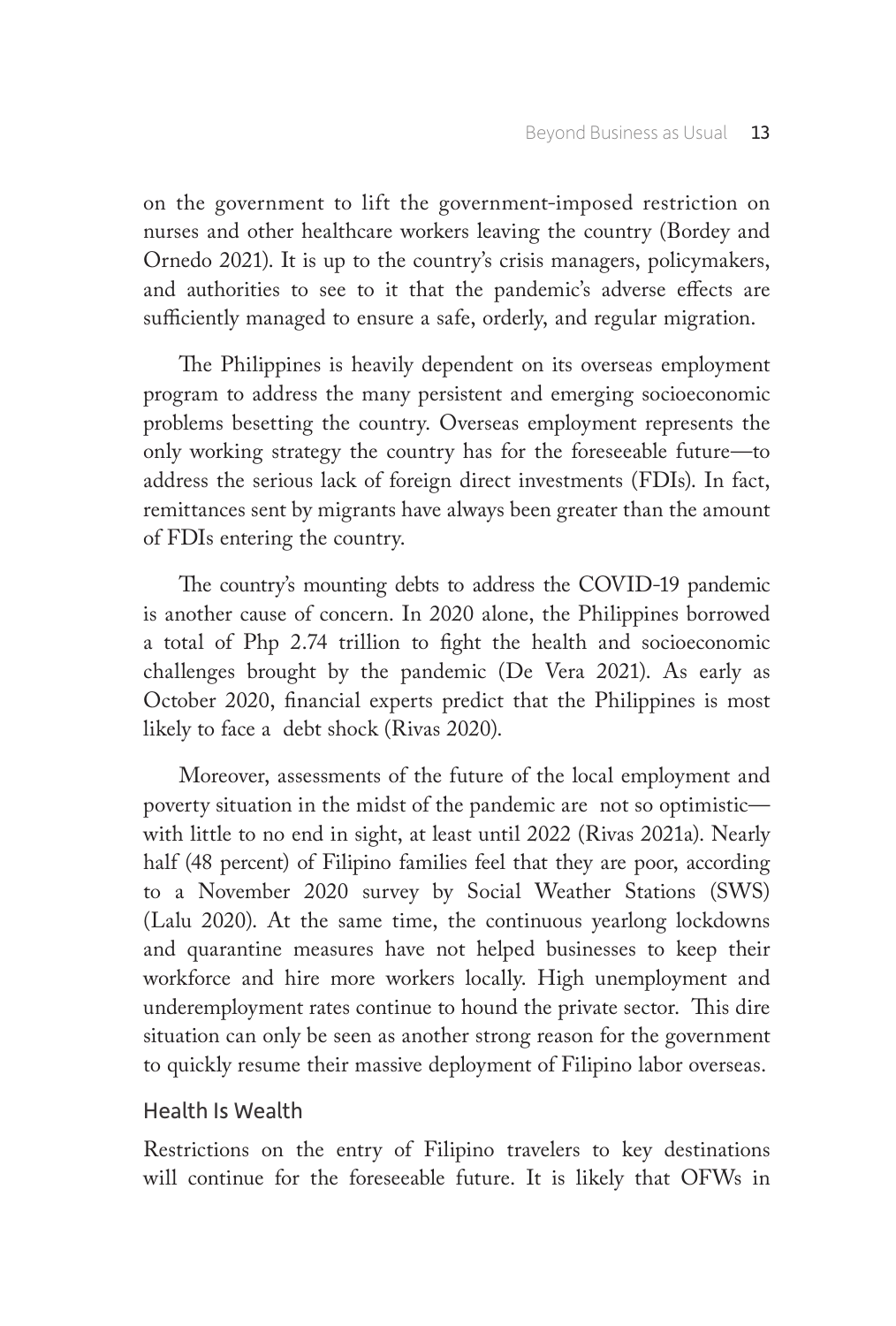on the government to lift the government-imposed restriction on nurses and other healthcare workers leaving the country (Bordey and Ornedo 2021). It is up to the country's crisis managers, policymakers, and authorities to see to it that the pandemic's adverse effects are sufficiently managed to ensure a safe, orderly, and regular migration.

The Philippines is heavily dependent on its overseas employment program to address the many persistent and emerging socioeconomic problems besetting the country. Overseas employment represents the only working strategy the country has for the foreseeable future—to address the serious lack of foreign direct investments (FDIs). In fact, remittances sent by migrants have always been greater than the amount of FDIs entering the country.

The country's mounting debts to address the COVID-19 pandemic is another cause of concern. In 2020 alone, the Philippines borrowed a total of Php 2.74 trillion to fight the health and socioeconomic challenges brought by the pandemic (De Vera 2021). As early as October 2020, financial experts predict that the Philippines is most likely to face a debt shock (Rivas 2020).

Moreover, assessments of the future of the local employment and poverty situation in the midst of the pandemic are not so optimistic with little to no end in sight, at least until 2022 (Rivas 2021a). Nearly half (48 percent) of Filipino families feel that they are poor, according to a November 2020 survey by Social Weather Stations (SWS) (Lalu 2020). At the same time, the continuous yearlong lockdowns and quarantine measures have not helped businesses to keep their workforce and hire more workers locally. High unemployment and underemployment rates continue to hound the private sector. This dire situation can only be seen as another strong reason for the government to quickly resume their massive deployment of Filipino labor overseas.

## Health Is Wealth

Restrictions on the entry of Filipino travelers to key destinations will continue for the foreseeable future. It is likely that OFWs in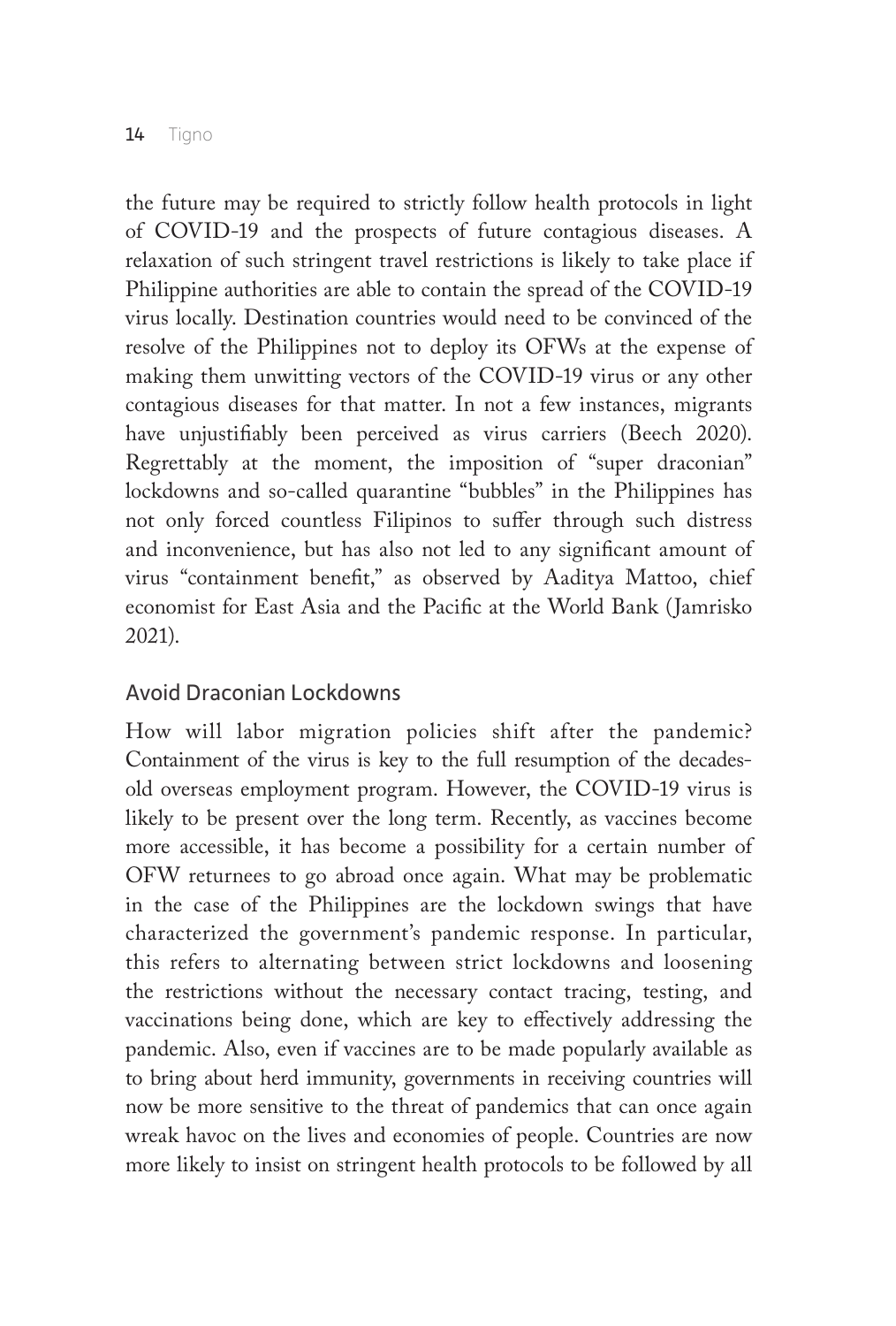the future may be required to strictly follow health protocols in light of COVID-19 and the prospects of future contagious diseases. A relaxation of such stringent travel restrictions is likely to take place if Philippine authorities are able to contain the spread of the COVID-19 virus locally. Destination countries would need to be convinced of the resolve of the Philippines not to deploy its OFWs at the expense of making them unwitting vectors of the COVID-19 virus or any other contagious diseases for that matter. In not a few instances, migrants have unjustifiably been perceived as virus carriers (Beech 2020). Regrettably at the moment, the imposition of "super draconian" lockdowns and so-called quarantine "bubbles" in the Philippines has not only forced countless Filipinos to suffer through such distress and inconvenience, but has also not led to any significant amount of virus "containment benefit," as observed by Aaditya Mattoo, chief economist for East Asia and the Pacific at the World Bank (Jamrisko 2021).

## Avoid Draconian Lockdowns

How will labor migration policies shift after the pandemic? Containment of the virus is key to the full resumption of the decadesold overseas employment program. However, the COVID-19 virus is likely to be present over the long term. Recently, as vaccines become more accessible, it has become a possibility for a certain number of OFW returnees to go abroad once again. What may be problematic in the case of the Philippines are the lockdown swings that have characterized the government's pandemic response. In particular, this refers to alternating between strict lockdowns and loosening the restrictions without the necessary contact tracing, testing, and vaccinations being done, which are key to effectively addressing the pandemic. Also, even if vaccines are to be made popularly available as to bring about herd immunity, governments in receiving countries will now be more sensitive to the threat of pandemics that can once again wreak havoc on the lives and economies of people. Countries are now more likely to insist on stringent health protocols to be followed by all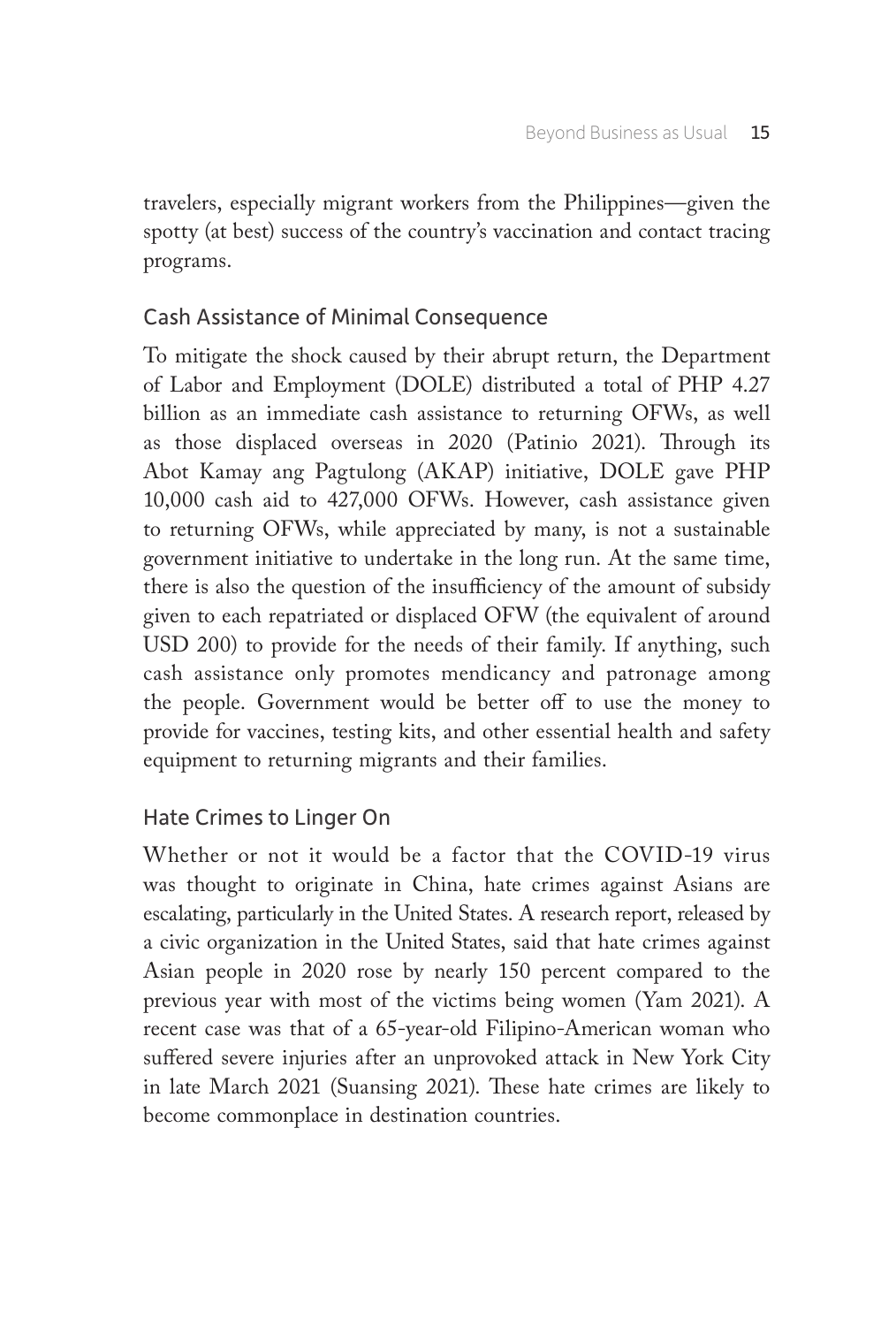travelers, especially migrant workers from the Philippines—given the spotty (at best) success of the country's vaccination and contact tracing programs.

## Cash Assistance of Minimal Consequence

To mitigate the shock caused by their abrupt return, the Department of Labor and Employment (DOLE) distributed a total of PHP 4.27 billion as an immediate cash assistance to returning OFWs, as well as those displaced overseas in 2020 (Patinio 2021). Through its Abot Kamay ang Pagtulong (AKAP) initiative, DOLE gave PHP 10,000 cash aid to 427,000 OFWs. However, cash assistance given to returning OFWs, while appreciated by many, is not a sustainable government initiative to undertake in the long run. At the same time, there is also the question of the insufficiency of the amount of subsidy given to each repatriated or displaced OFW (the equivalent of around USD 200) to provide for the needs of their family. If anything, such cash assistance only promotes mendicancy and patronage among the people. Government would be better off to use the money to provide for vaccines, testing kits, and other essential health and safety equipment to returning migrants and their families.

## Hate Crimes to Linger On

Whether or not it would be a factor that the COVID-19 virus was thought to originate in China, hate crimes against Asians are escalating, particularly in the United States. A research report, released by a civic organization in the United States, said that hate crimes against Asian people in 2020 rose by nearly 150 percent compared to the previous year with most of the victims being women (Yam 2021). A recent case was that of a 65-year-old Filipino-American woman who suffered severe injuries after an unprovoked attack in New York City in late March 2021 (Suansing 2021). These hate crimes are likely to become commonplace in destination countries.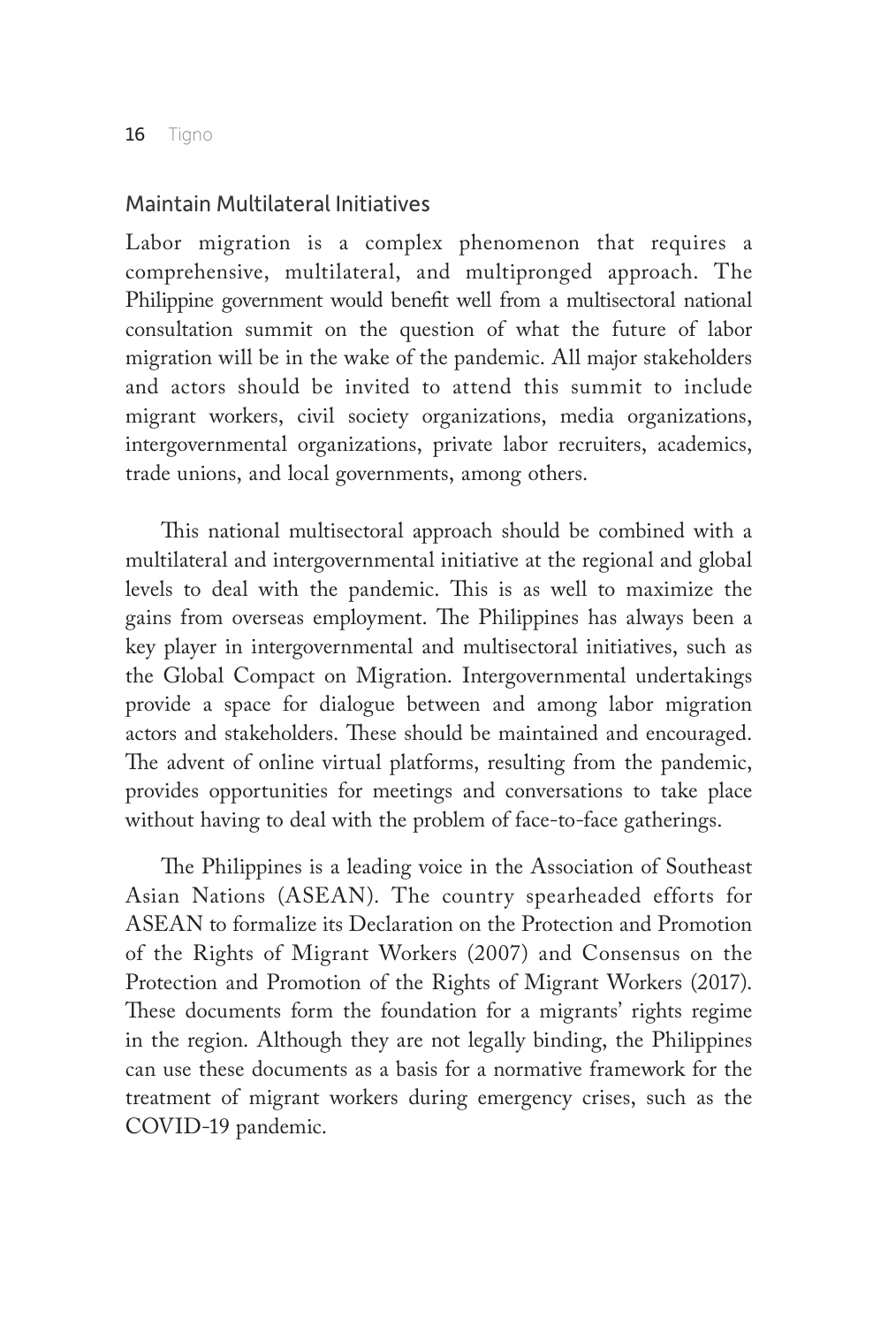## Maintain Multilateral Initiatives

Labor migration is a complex phenomenon that requires a comprehensive, multilateral, and multipronged approach. The Philippine government would benefit well from a multisectoral national consultation summit on the question of what the future of labor migration will be in the wake of the pandemic. All major stakeholders and actors should be invited to attend this summit to include migrant workers, civil society organizations, media organizations, intergovernmental organizations, private labor recruiters, academics, trade unions, and local governments, among others.

This national multisectoral approach should be combined with a multilateral and intergovernmental initiative at the regional and global levels to deal with the pandemic. This is as well to maximize the gains from overseas employment. The Philippines has always been a key player in intergovernmental and multisectoral initiatives, such as the Global Compact on Migration. Intergovernmental undertakings provide a space for dialogue between and among labor migration actors and stakeholders. These should be maintained and encouraged. The advent of online virtual platforms, resulting from the pandemic, provides opportunities for meetings and conversations to take place without having to deal with the problem of face-to-face gatherings.

The Philippines is a leading voice in the Association of Southeast Asian Nations (ASEAN). The country spearheaded efforts for ASEAN to formalize its Declaration on the Protection and Promotion of the Rights of Migrant Workers (2007) and Consensus on the Protection and Promotion of the Rights of Migrant Workers (2017). These documents form the foundation for a migrants' rights regime in the region. Although they are not legally binding, the Philippines can use these documents as a basis for a normative framework for the treatment of migrant workers during emergency crises, such as the COVID-19 pandemic.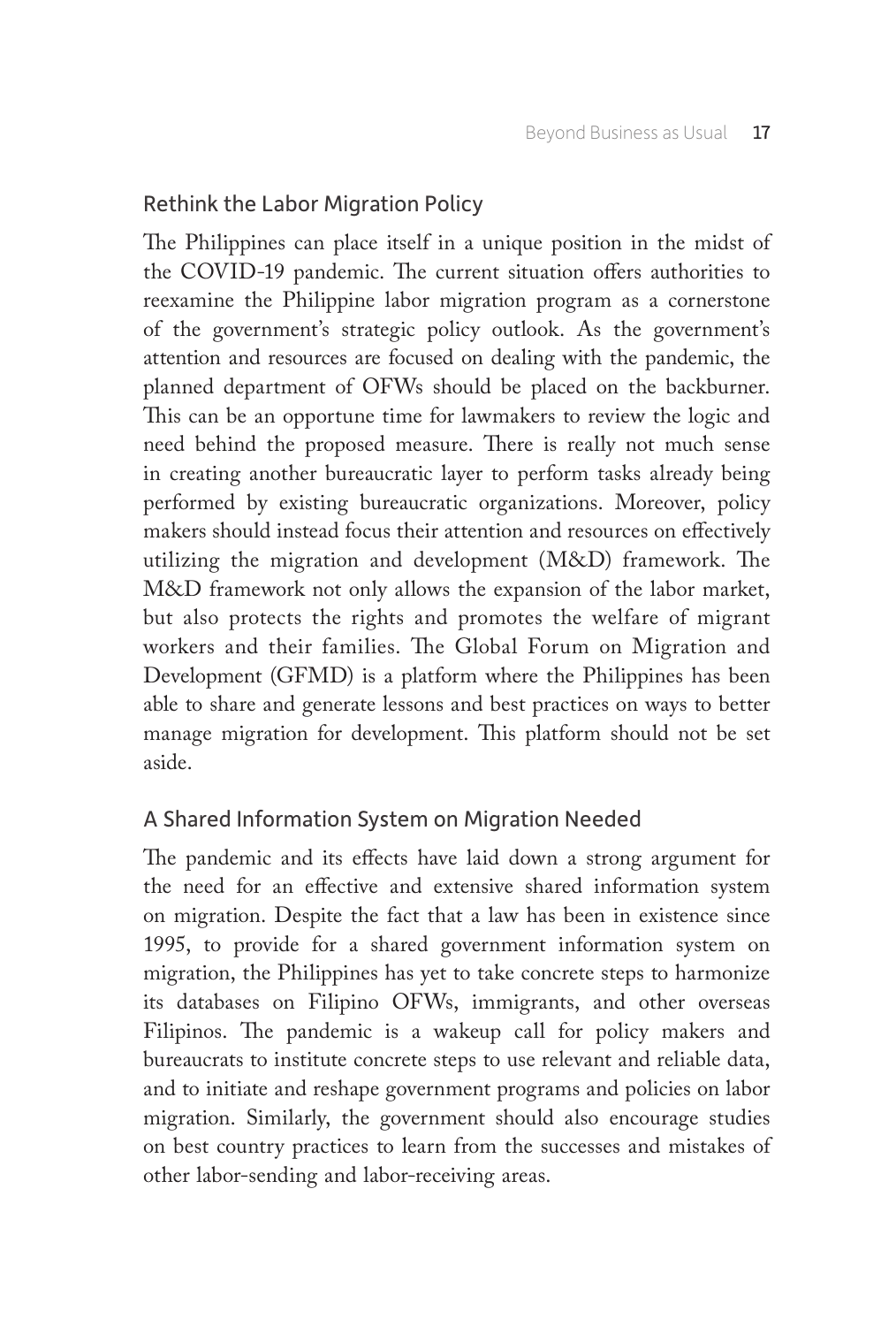## Rethink the Labor Migration Policy

The Philippines can place itself in a unique position in the midst of the COVID-19 pandemic. The current situation offers authorities to reexamine the Philippine labor migration program as a cornerstone of the government's strategic policy outlook. As the government's attention and resources are focused on dealing with the pandemic, the planned department of OFWs should be placed on the backburner. This can be an opportune time for lawmakers to review the logic and need behind the proposed measure. There is really not much sense in creating another bureaucratic layer to perform tasks already being performed by existing bureaucratic organizations. Moreover, policy makers should instead focus their attention and resources on effectively utilizing the migration and development (M&D) framework. The M&D framework not only allows the expansion of the labor market, but also protects the rights and promotes the welfare of migrant workers and their families. The Global Forum on Migration and Development (GFMD) is a platform where the Philippines has been able to share and generate lessons and best practices on ways to better manage migration for development. This platform should not be set aside.

## A Shared Information System on Migration Needed

The pandemic and its effects have laid down a strong argument for the need for an effective and extensive shared information system on migration. Despite the fact that a law has been in existence since 1995, to provide for a shared government information system on migration, the Philippines has yet to take concrete steps to harmonize its databases on Filipino OFWs, immigrants, and other overseas Filipinos. The pandemic is a wakeup call for policy makers and bureaucrats to institute concrete steps to use relevant and reliable data, and to initiate and reshape government programs and policies on labor migration. Similarly, the government should also encourage studies on best country practices to learn from the successes and mistakes of other labor-sending and labor-receiving areas.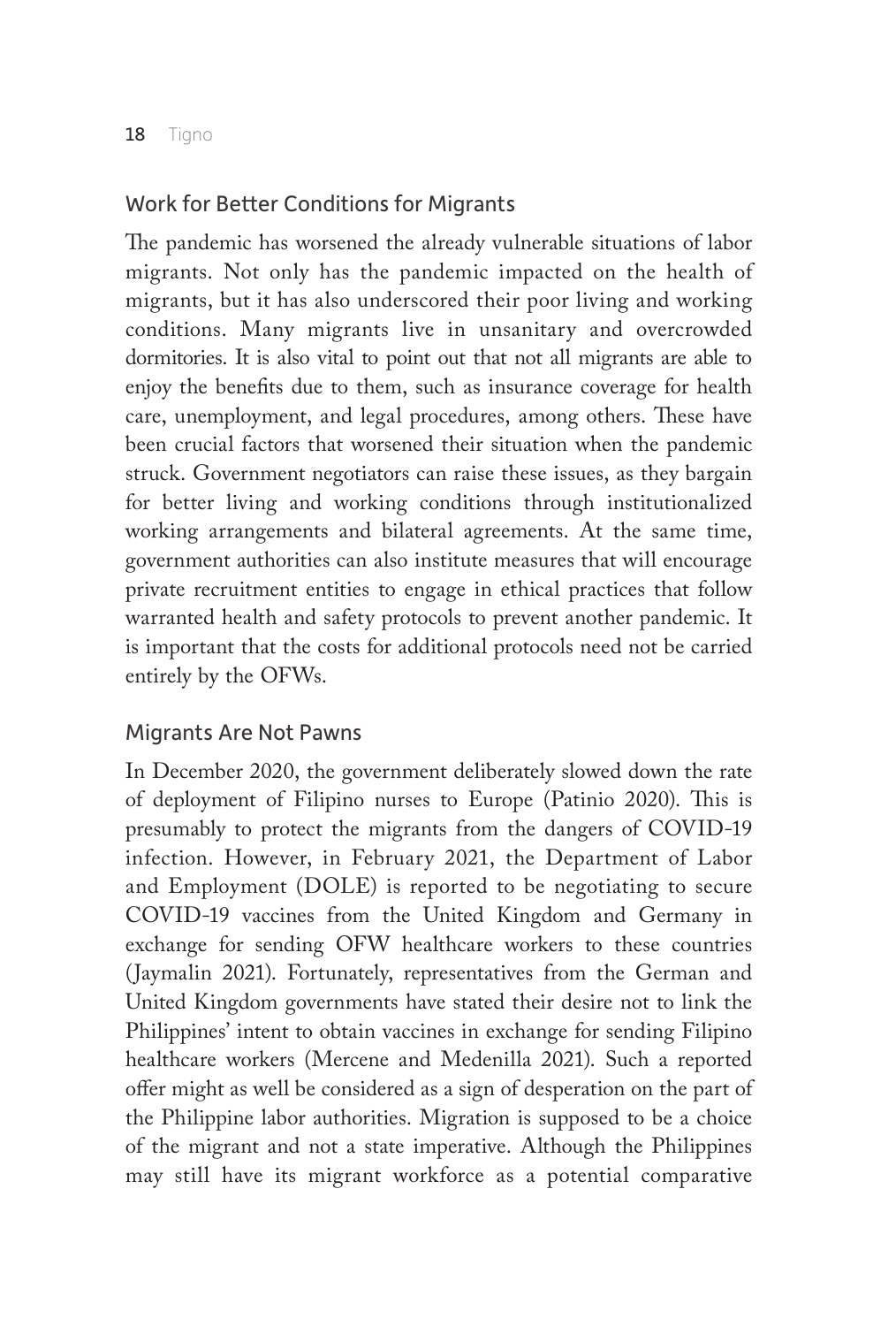## Work for Better Conditions for Migrants

The pandemic has worsened the already vulnerable situations of labor migrants. Not only has the pandemic impacted on the health of migrants, but it has also underscored their poor living and working conditions. Many migrants live in unsanitary and overcrowded dormitories. It is also vital to point out that not all migrants are able to enjoy the benefits due to them, such as insurance coverage for health care, unemployment, and legal procedures, among others. These have been crucial factors that worsened their situation when the pandemic struck. Government negotiators can raise these issues, as they bargain for better living and working conditions through institutionalized working arrangements and bilateral agreements. At the same time, government authorities can also institute measures that will encourage private recruitment entities to engage in ethical practices that follow warranted health and safety protocols to prevent another pandemic. It is important that the costs for additional protocols need not be carried entirely by the OFWs.

## Migrants Are Not Pawns

In December 2020, the government deliberately slowed down the rate of deployment of Filipino nurses to Europe (Patinio 2020). This is presumably to protect the migrants from the dangers of COVID-19 infection. However, in February 2021, the Department of Labor and Employment (DOLE) is reported to be negotiating to secure COVID-19 vaccines from the United Kingdom and Germany in exchange for sending OFW healthcare workers to these countries (Jaymalin 2021). Fortunately, representatives from the German and United Kingdom governments have stated their desire not to link the Philippines' intent to obtain vaccines in exchange for sending Filipino healthcare workers (Mercene and Medenilla 2021). Such a reported offer might as well be considered as a sign of desperation on the part of the Philippine labor authorities. Migration is supposed to be a choice of the migrant and not a state imperative. Although the Philippines may still have its migrant workforce as a potential comparative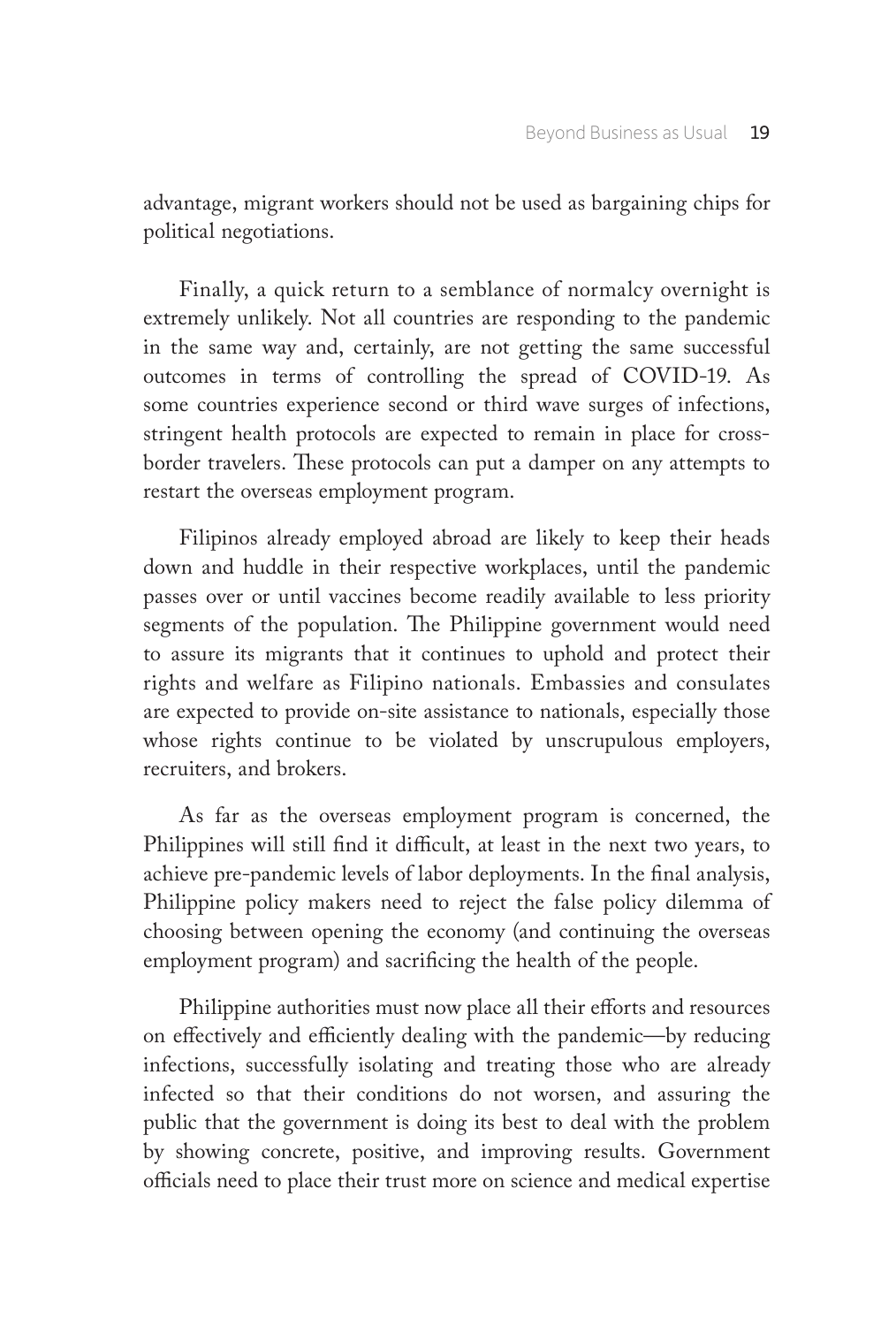advantage, migrant workers should not be used as bargaining chips for political negotiations.

Finally, a quick return to a semblance of normalcy overnight is extremely unlikely. Not all countries are responding to the pandemic in the same way and, certainly, are not getting the same successful outcomes in terms of controlling the spread of COVID-19. As some countries experience second or third wave surges of infections, stringent health protocols are expected to remain in place for crossborder travelers. These protocols can put a damper on any attempts to restart the overseas employment program.

Filipinos already employed abroad are likely to keep their heads down and huddle in their respective workplaces, until the pandemic passes over or until vaccines become readily available to less priority segments of the population. The Philippine government would need to assure its migrants that it continues to uphold and protect their rights and welfare as Filipino nationals. Embassies and consulates are expected to provide on-site assistance to nationals, especially those whose rights continue to be violated by unscrupulous employers, recruiters, and brokers.

As far as the overseas employment program is concerned, the Philippines will still find it difficult, at least in the next two years, to achieve pre-pandemic levels of labor deployments. In the final analysis, Philippine policy makers need to reject the false policy dilemma of choosing between opening the economy (and continuing the overseas employment program) and sacrificing the health of the people.

Philippine authorities must now place all their efforts and resources on effectively and efficiently dealing with the pandemic—by reducing infections, successfully isolating and treating those who are already infected so that their conditions do not worsen, and assuring the public that the government is doing its best to deal with the problem by showing concrete, positive, and improving results. Government officials need to place their trust more on science and medical expertise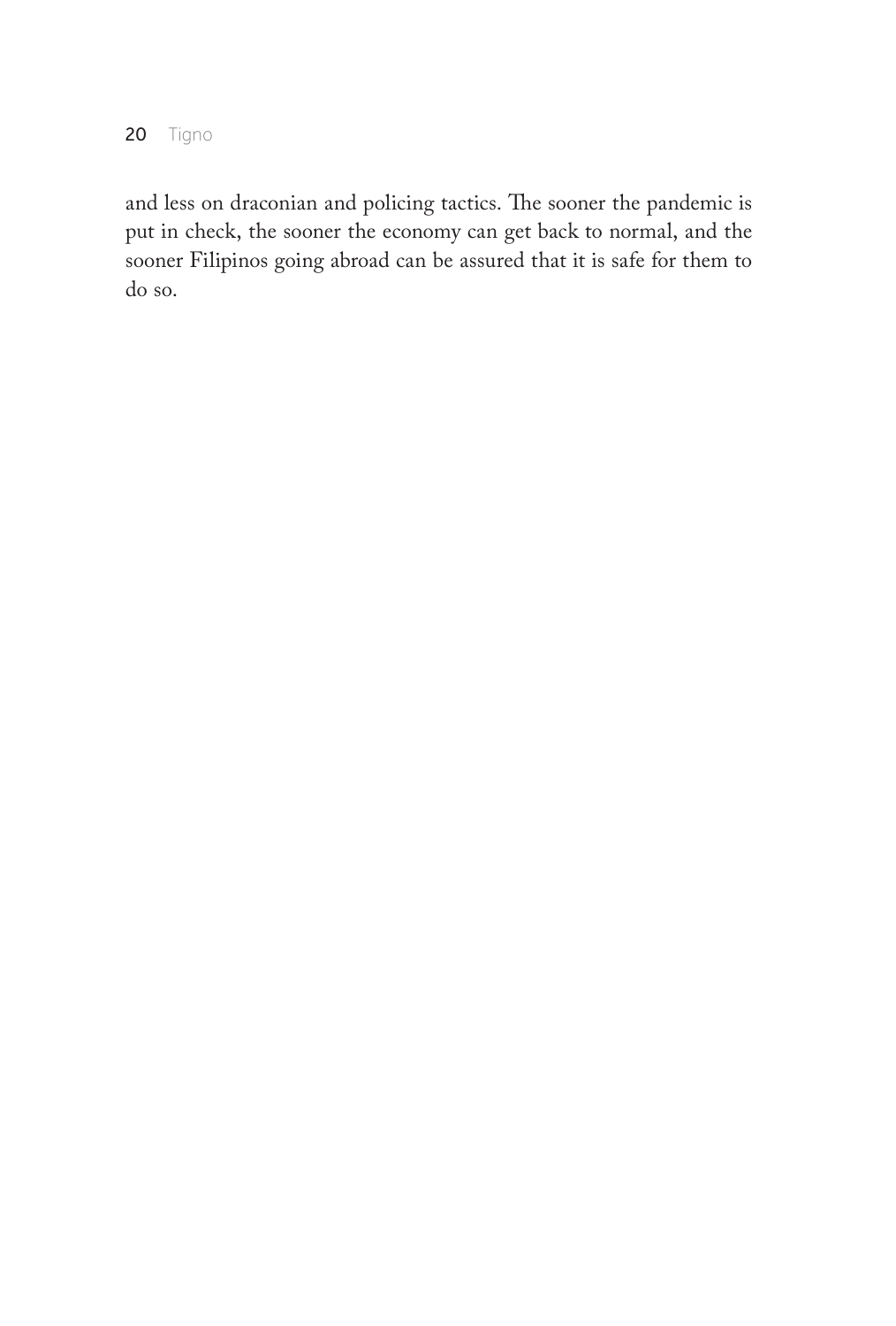20 Tigno

and less on draconian and policing tactics. The sooner the pandemic is put in check, the sooner the economy can get back to normal, and the sooner Filipinos going abroad can be assured that it is safe for them to do so.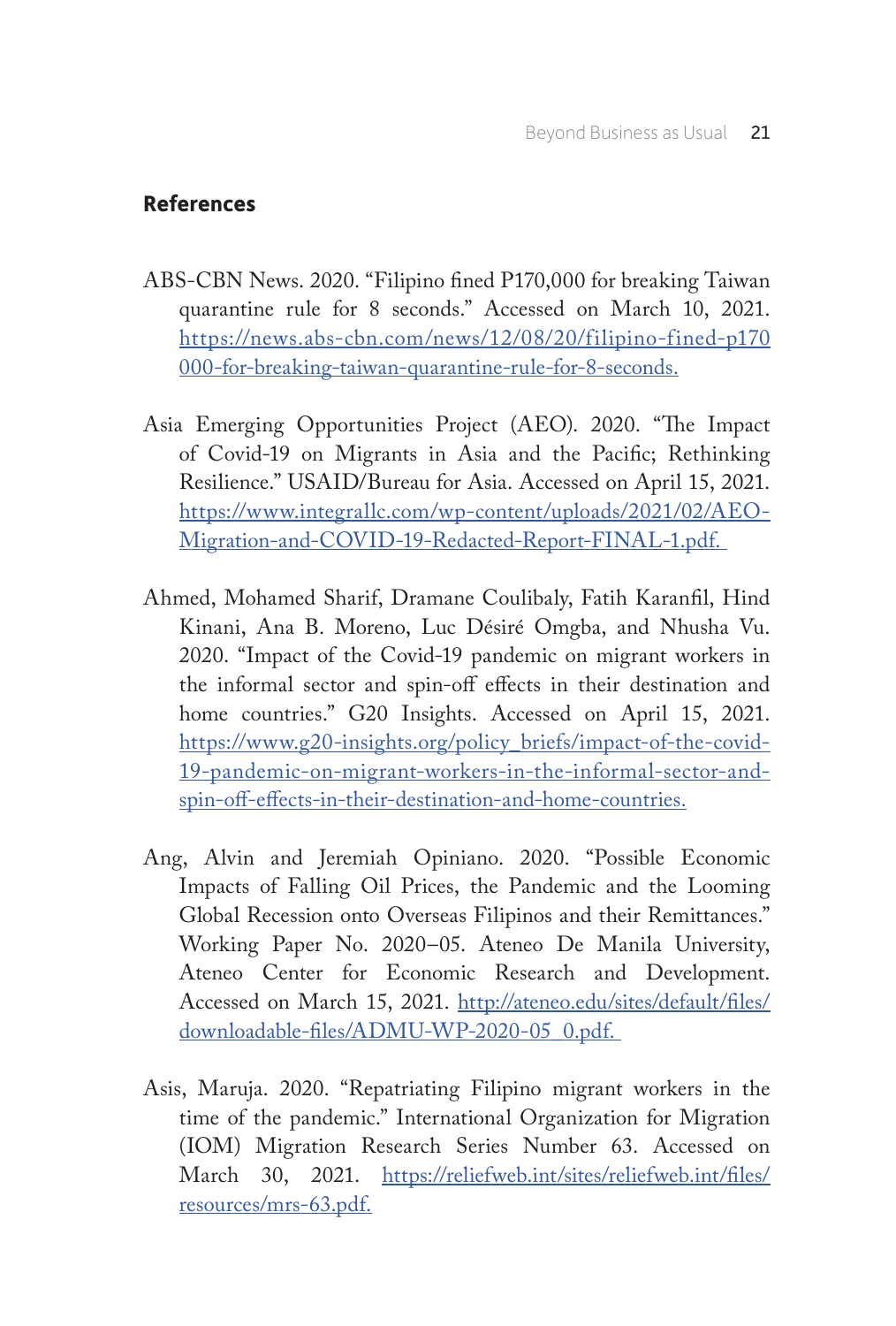## **References**

- ABS-CBN News. 2020. "Filipino fined P170,000 for breaking Taiwan quarantine rule for 8 seconds." Accessed on March 10, 2021. https://news.abs-cbn.com/news/12/08/20/filipino-fined-p170 000-for-breaking-taiwan-quarantine-rule-for-8-seconds.
- Asia Emerging Opportunities Project (AEO). 2020. "The Impact of Covid-19 on Migrants in Asia and the Pacific; Rethinking Resilience." USAID/Bureau for Asia. Accessed on April 15, 2021. https://www.integrallc.com/wp-content/uploads/2021/02/AEO-Migration-and-COVID-19-Redacted-Report-FINAL-1.pdf.
- Ahmed, Mohamed Sharif, Dramane Coulibaly, Fatih Karanfil, Hind Kinani, Ana B. Moreno, Luc Désiré Omgba, and Nhusha Vu. 2020. "Impact of the Covid-19 pandemic on migrant workers in the informal sector and spin-off effects in their destination and home countries." G20 Insights. Accessed on April 15, 2021. https://www.g20-insights.org/policy\_briefs/impact-of-the-covid-19-pandemic-on-migrant-workers-in-the-informal-sector-andspin-off-effects-in-their-destination-and-home-countries.
- Ang, Alvin and Jeremiah Opiniano. 2020. "Possible Economic Impacts of Falling Oil Prices, the Pandemic and the Looming Global Recession onto Overseas Filipinos and their Remittances." Working Paper No. 2020–05. Ateneo De Manila University, Ateneo Center for Economic Research and Development. Accessed on March 15, 2021. http://ateneo.edu/sites/default/files/ downloadable-files/ADMU-WP-2020-05\_0.pdf.
- Asis, Maruja. 2020. "Repatriating Filipino migrant workers in the time of the pandemic." International Organization for Migration (IOM) Migration Research Series Number 63. Accessed on March 30, 2021. https://reliefweb.int/sites/reliefweb.int/files/ resources/mrs-63.pdf.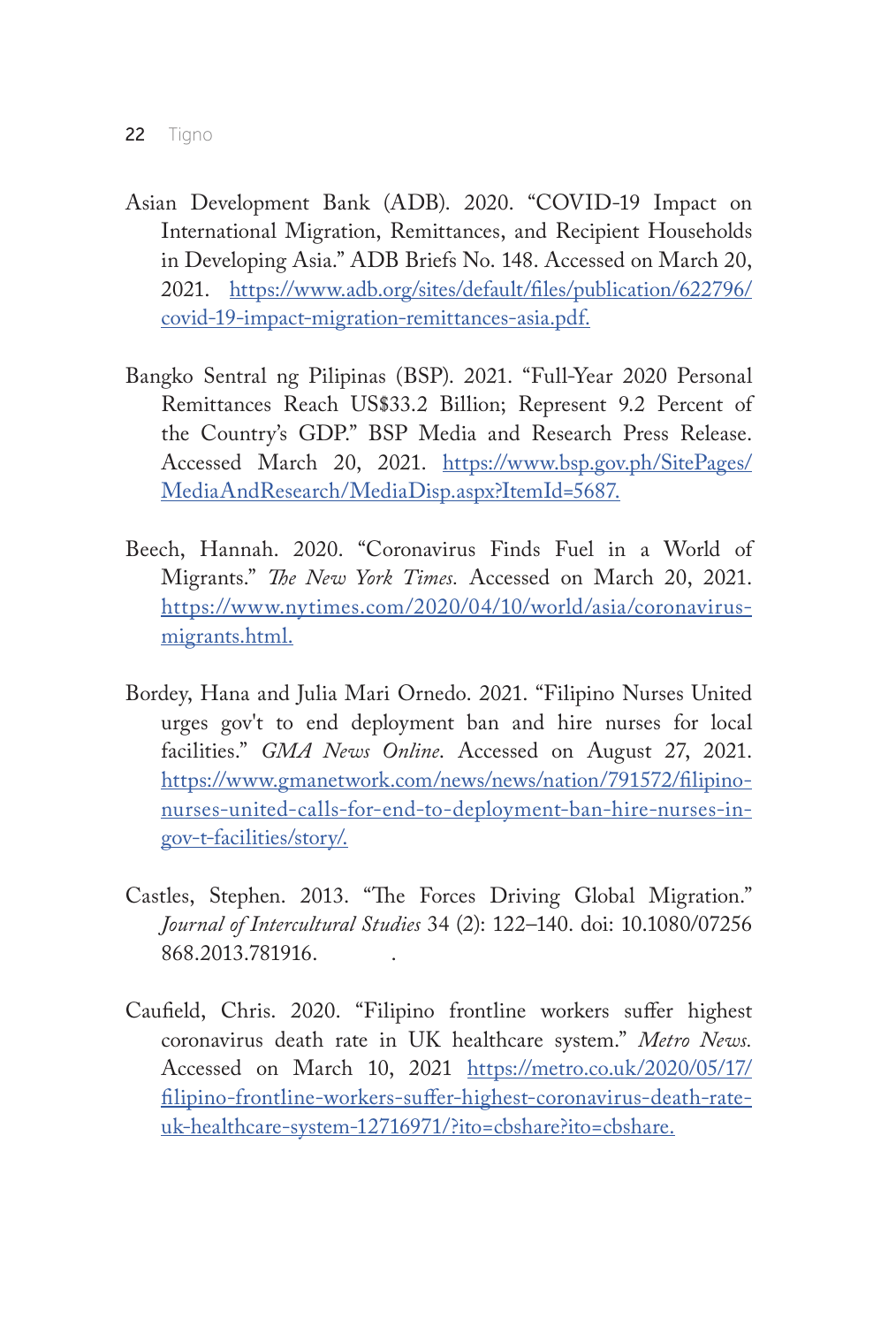- Asian Development Bank (ADB). 2020. "COVID-19 Impact on International Migration, Remittances, and Recipient Households in Developing Asia." ADB Briefs No. 148. Accessed on March 20, 2021. https://www.adb.org/sites/default/files/publication/622796/ covid-19-impact-migration-remittances-asia.pdf.
- Bangko Sentral ng Pilipinas (BSP). 2021. "Full-Year 2020 Personal Remittances Reach US\$33.2 Billion; Represent 9.2 Percent of the Country's GDP." BSP Media and Research Press Release. Accessed March 20, 2021. https://www.bsp.gov.ph/SitePages/ MediaAndResearch/MediaDisp.aspx?ItemId=5687.
- Beech, Hannah. 2020. "Coronavirus Finds Fuel in a World of Migrants." *The New York Times.* Accessed on March 20, 2021. https://www.nytimes.com/2020/04/10/world/asia/coronavirusmigrants.html.
- Bordey, Hana and Julia Mari Ornedo. 2021. "Filipino Nurses United urges gov't to end deployment ban and hire nurses for local facilities." *GMA News Online*. Accessed on August 27, 2021. https://www.gmanetwork.com/news/news/nation/791572/filipinonurses-united-calls-for-end-to-deployment-ban-hire-nurses-ingov-t-facilities/story/.
- Castles, Stephen. 2013. "The Forces Driving Global Migration." *Journal of Intercultural Studies* 34 (2): 122–140. doi: 10.1080/07256 868.2013.781916. .
- Caufield, Chris. 2020. "Filipino frontline workers suffer highest coronavirus death rate in UK healthcare system." *Metro News.*  Accessed on March 10, 2021 https://metro.co.uk/2020/05/17/ filipino-frontline-workers-suffer-highest-coronavirus-death-rateuk-healthcare-system-12716971/?ito=cbshare?ito=cbshare.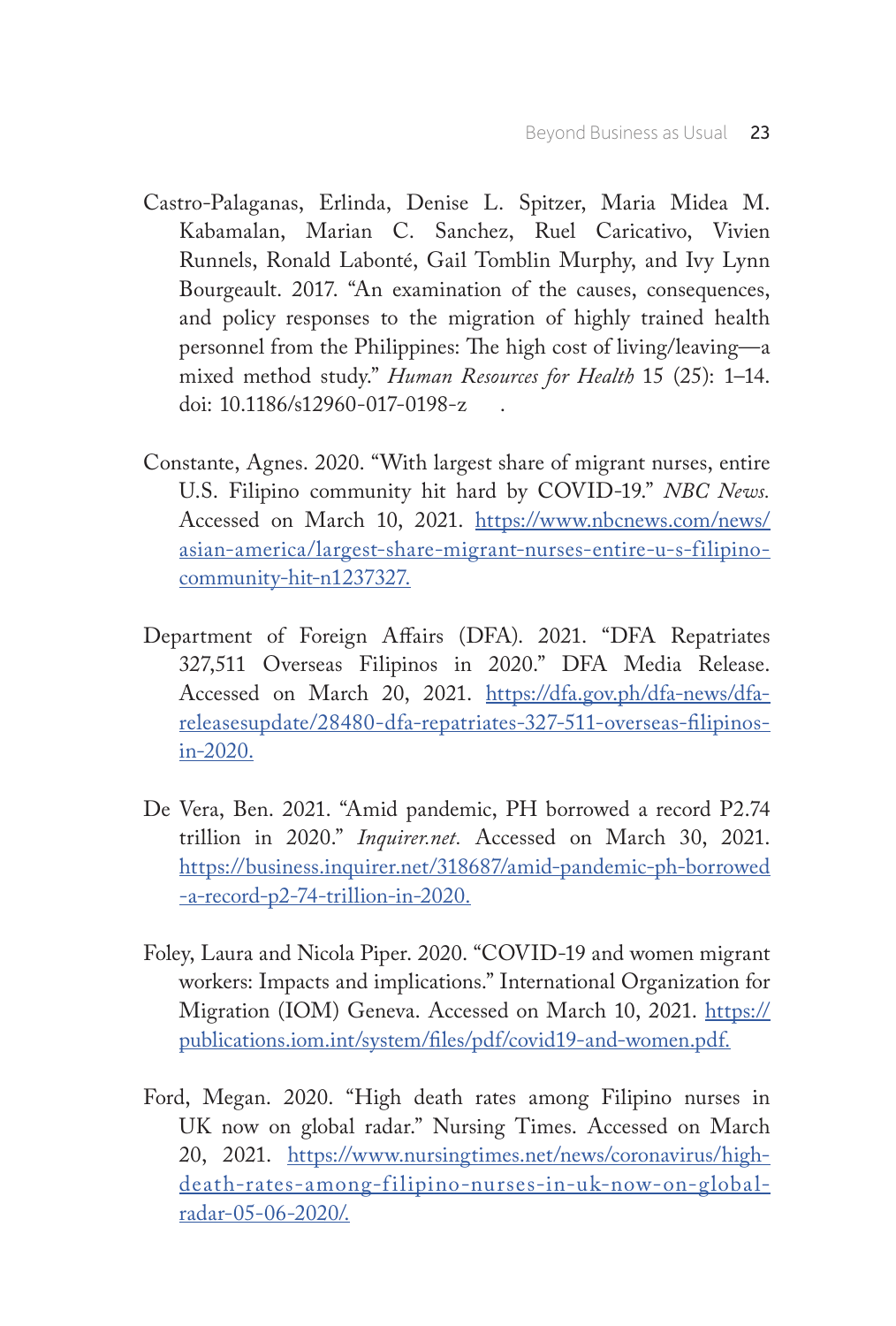- Castro-Palaganas, Erlinda, Denise L. Spitzer, Maria Midea M. Kabamalan, Marian C. Sanchez, Ruel Caricativo, Vivien Runnels, Ronald Labonté, Gail Tomblin Murphy, and Ivy Lynn Bourgeault. 2017. "An examination of the causes, consequences, and policy responses to the migration of highly trained health personnel from the Philippines: The high cost of living/leaving—a mixed method study." *Human Resources for Health* 15 (25): 1–14. doi: 10.1186/s12960-017-0198-z .
- Constante, Agnes. 2020. "With largest share of migrant nurses, entire U.S. Filipino community hit hard by COVID-19." *NBC News.*  Accessed on March 10, 2021. https://www.nbcnews.com/news/ asian-america/largest-share-migrant-nurses-entire-u-s-filipinocommunity-hit-n1237327.
- Department of Foreign Affairs (DFA). 2021. "DFA Repatriates 327,511 Overseas Filipinos in 2020." DFA Media Release. Accessed on March 20, 2021. https://dfa.gov.ph/dfa-news/dfareleasesupdate/28480-dfa-repatriates-327-511-overseas-filipinosin-2020.
- De Vera, Ben. 2021. "Amid pandemic, PH borrowed a record P2.74 trillion in 2020." *Inquirer.net.* Accessed on March 30, 2021. https://business.inquirer.net/318687/amid-pandemic-ph-borrowed -a-record-p2-74-trillion-in-2020.
- Foley, Laura and Nicola Piper. 2020. "COVID-19 and women migrant workers: Impacts and implications." International Organization for Migration (IOM) Geneva. Accessed on March 10, 2021. https:// publications.iom.int/system/files/pdf/covid19-and-women.pdf.
- Ford, Megan. 2020. "High death rates among Filipino nurses in UK now on global radar." Nursing Times. Accessed on March 20, 2021. https://www.nursingtimes.net/news/coronavirus/highdeath-rates-among-filipino-nurses-in-uk-now-on-globalradar-05-06-2020/.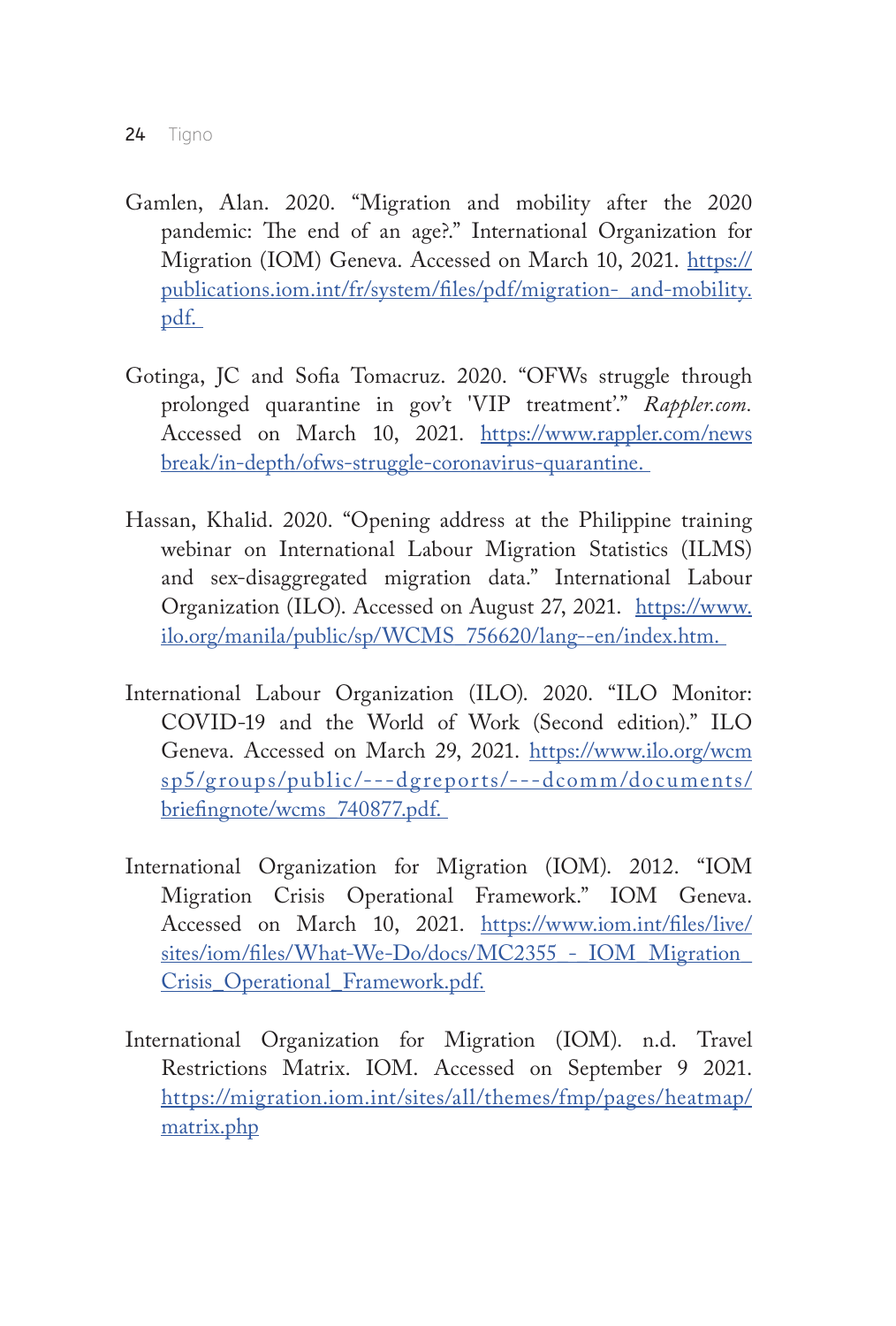- Gamlen, Alan. 2020. "Migration and mobility after the 2020 pandemic: The end of an age?." International Organization for Migration (IOM) Geneva. Accessed on March 10, 2021. https:// publications.iom.int/fr/system/files/pdf/migration-\_and-mobility. pdf.
- Gotinga, JC and Sofia Tomacruz. 2020. "OFWs struggle through prolonged quarantine in gov't 'VIP treatment'." *Rappler.com.* Accessed on March 10, 2021. https://www.rappler.com/news break/in-depth/ofws-struggle-coronavirus-quarantine.
- Hassan, Khalid. 2020. "Opening address at the Philippine training webinar on International Labour Migration Statistics (ILMS) and sex-disaggregated migration data." International Labour Organization (ILO). Accessed on August 27, 2021. https://www. ilo.org/manila/public/sp/WCMS\_756620/lang--en/index.htm.
- International Labour Organization (ILO). 2020. "ILO Monitor: COVID-19 and the World of Work (Second edition)." ILO Geneva. Accessed on March 29, 2021. https://www.ilo.org/wcm sp5/groups/public/---dgreports/---dcomm/documents/ briefingnote/wcms\_740877.pdf.
- International Organization for Migration (IOM). 2012. "IOM Migration Crisis Operational Framework." IOM Geneva. Accessed on March 10, 2021. https://www.iom.int/files/live/ sites/iom/files/What-We-Do/docs/MC2355 - IOM\_Migration\_ Crisis\_Operational\_Framework.pdf.
- International Organization for Migration (IOM). n.d. Travel Restrictions Matrix. IOM. Accessed on September 9 2021. https://migration.iom.int/sites/all/themes/fmp/pages/heatmap/ matrix.php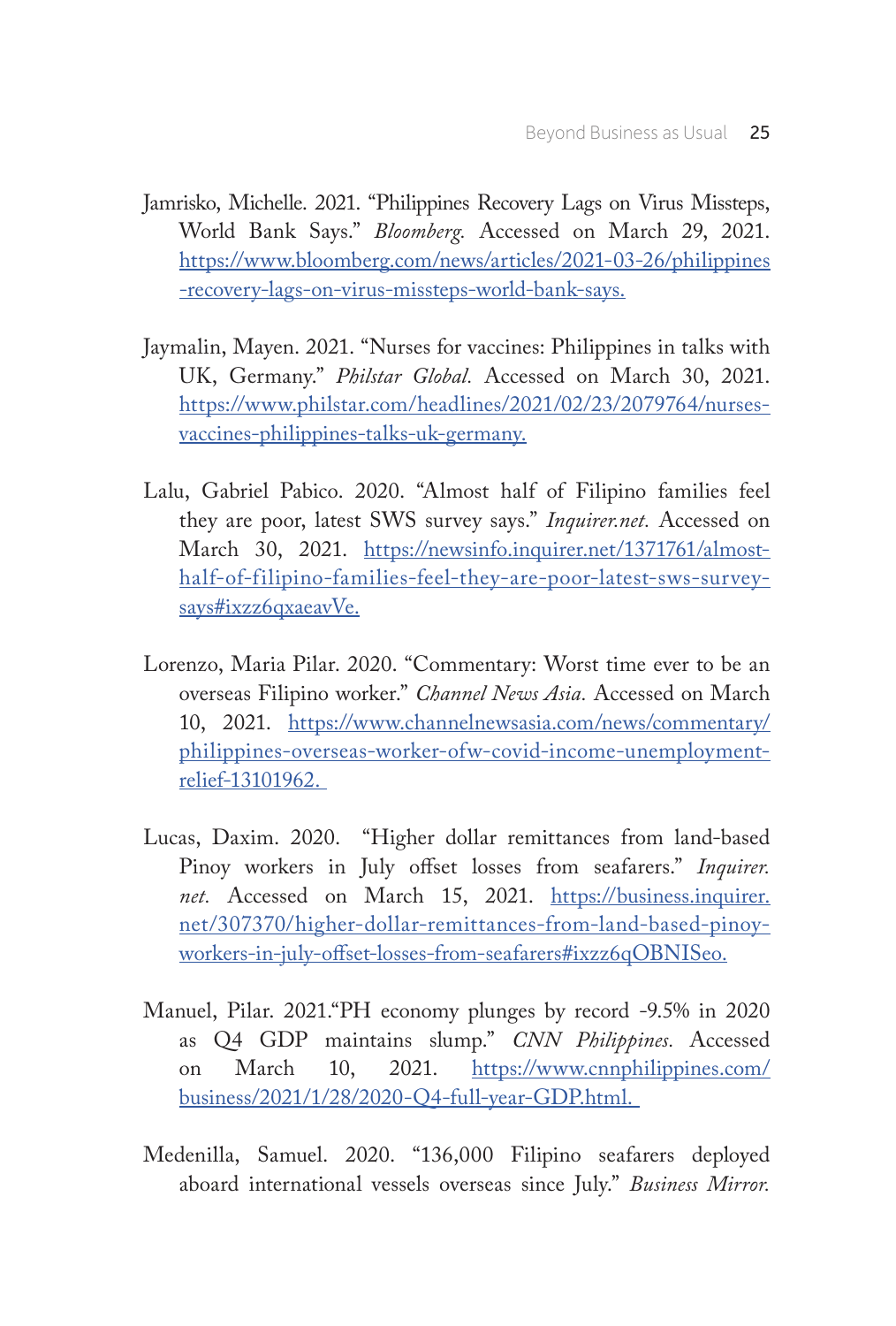- Jamrisko, Michelle. 2021. "Philippines Recovery Lags on Virus Missteps, World Bank Says." *Bloomberg.* Accessed on March 29, 2021. https://www.bloomberg.com/news/articles/2021-03-26/philippines -recovery-lags-on-virus-missteps-world-bank-says.
- Jaymalin, Mayen. 2021. "Nurses for vaccines: Philippines in talks with UK, Germany." *Philstar Global.* Accessed on March 30, 2021. https://www.philstar.com/headlines/2021/02/23/2079764/nursesvaccines-philippines-talks-uk-germany.
- Lalu, Gabriel Pabico. 2020. "Almost half of Filipino families feel they are poor, latest SWS survey says." *Inquirer.net.* Accessed on March 30, 2021. https://newsinfo.inquirer.net/1371761/almosthalf-of-filipino-families-feel-they-are-poor-latest-sws-surveysays#ixzz6qxaeavVe.
- Lorenzo, Maria Pilar. 2020. "Commentary: Worst time ever to be an overseas Filipino worker." *Channel News Asia.* Accessed on March 10, 2021. https://www.channelnewsasia.com/news/commentary/ philippines-overseas-worker-ofw-covid-income-unemploymentrelief-13101962.
- Lucas, Daxim. 2020. "Higher dollar remittances from land-based Pinoy workers in July offset losses from seafarers." *Inquirer. net.* Accessed on March 15, 2021. https://business.inquirer. net/307370/higher-dollar-remittances-from-land-based-pinoyworkers-in-july-offset-losses-from-seafarers#ixzz6qOBNISeo.
- Manuel, Pilar. 2021."PH economy plunges by record -9.5% in 2020 as Q4 GDP maintains slump." *CNN Philippines.* Accessed on March 10, 2021. https://www.cnnphilippines.com/ business/2021/1/28/2020-Q4-full-year-GDP.html.
- Medenilla, Samuel. 2020. "136,000 Filipino seafarers deployed aboard international vessels overseas since July." *Business Mirror.*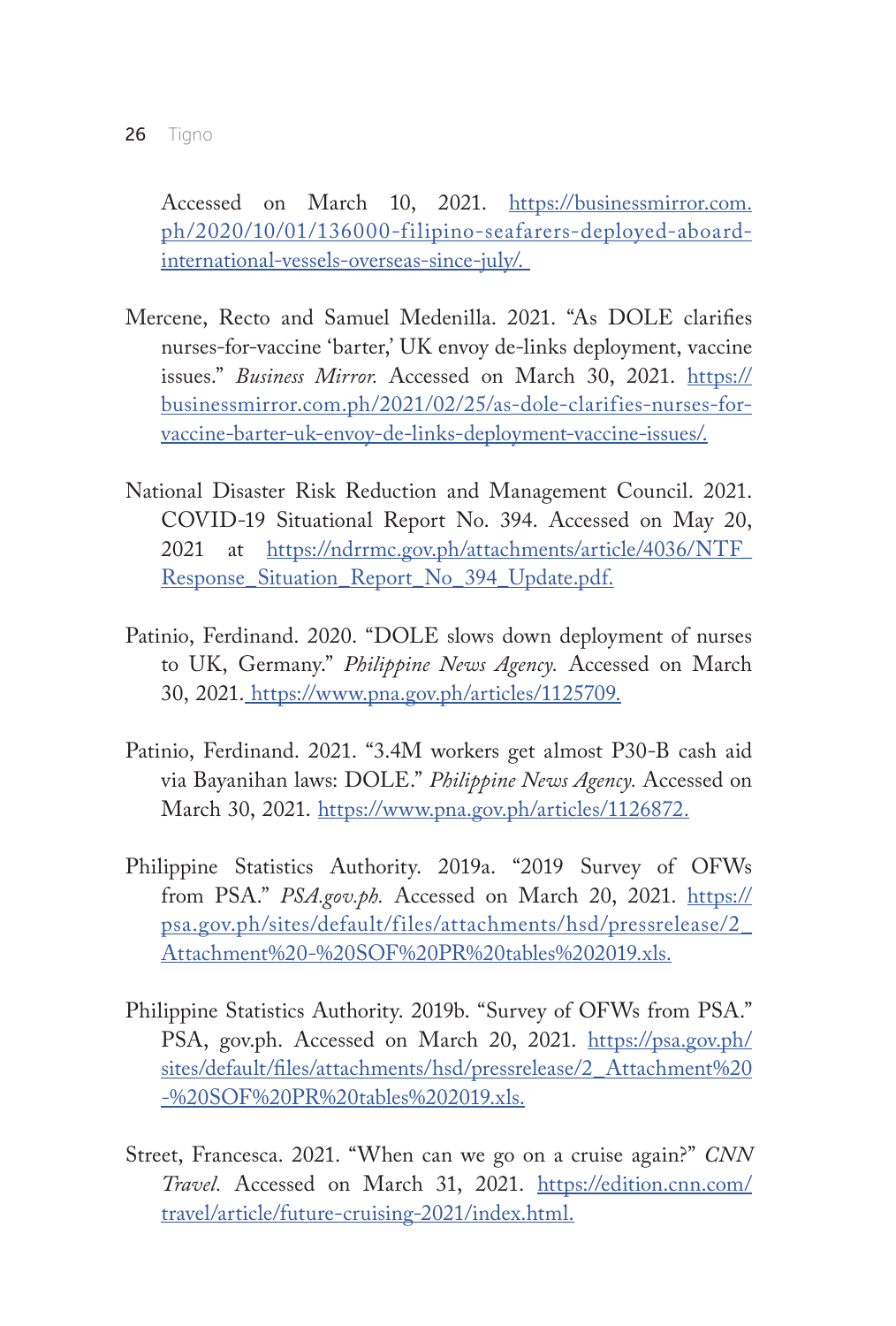Accessed on March 10, 2021. https://businessmirror.com. ph/2020/10/01/136000-filipino-seafarers-deployed-aboardinternational-vessels-overseas-since-july/.

- Mercene, Recto and Samuel Medenilla. 2021. "As DOLE clarifies nurses-for-vaccine 'barter,' UK envoy de-links deployment, vaccine issues." Business Mirror. Accessed on March 30, 2021. https:// businessmirror.com.ph/2021/02/25/as-dole-clarifies-nurses-forvaccine-barter-uk-envoy-de-links-deployment-vaccine-issues/.
- National Disaster Risk Reduction and Management Council. 2021. COVID-19 Situational Report No. 394. Accessed on May 20, 2021 at https://ndrrmc.gov.ph/attachments/article/4036/NTF\_ Response\_Situation\_Report\_No\_394\_Update.pdf.
- Patinio, Ferdinand. 2020. "DOLE slows down deployment of nurses to UK, Germany." *Philippine News Agency.* Accessed on March 30, 2021. https://www.pna.gov.ph/articles/1125709.
- Patinio, Ferdinand. 2021. "3.4M workers get almost P30-B cash aid via Bayanihan laws: DOLE." *Philippine News Agency.* Accessed on March 30, 2021. https://www.pna.gov.ph/articles/1126872.
- Philippine Statistics Authority. 2019a. "2019 Survey of OFWs from PSA." *PSA.gov.ph.* Accessed on March 20, 2021. https:// psa.gov.ph/sites/default/files/attachments/hsd/pressrelease/2\_ Attachment%20-%20SOF%20PR%20tables%202019.xls.
- Philippine Statistics Authority. 2019b. "Survey of OFWs from PSA." PSA, gov.ph. Accessed on March 20, 2021. https://psa.gov.ph/ sites/default/files/attachments/hsd/pressrelease/2\_Attachment%20 -%20SOF%20PR%20tables%202019.xls.
- Street, Francesca. 2021. "When can we go on a cruise again?" *CNN Travel.* Accessed on March 31, 2021. https://edition.cnn.com/ travel/article/future-cruising-2021/index.html.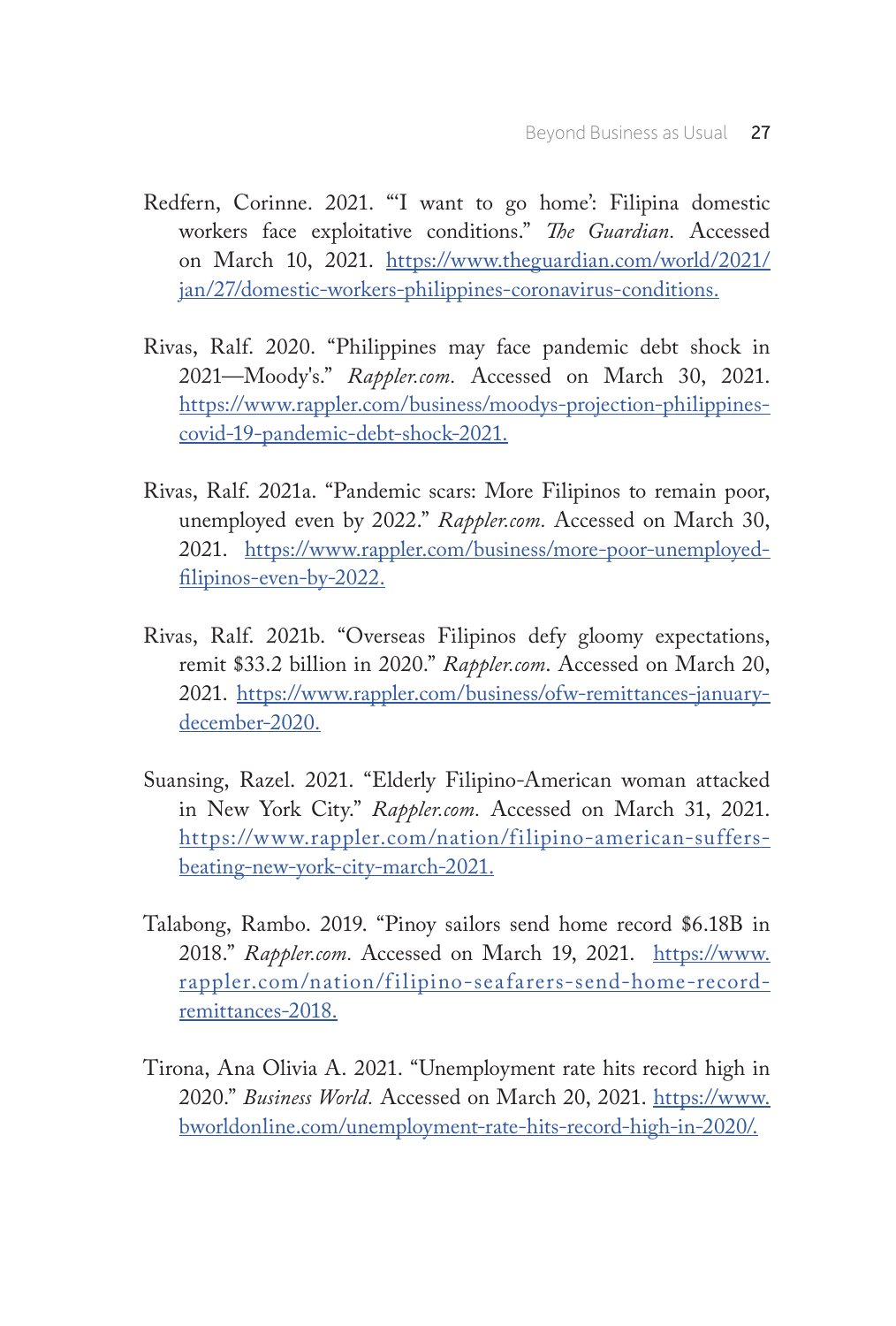- Redfern, Corinne. 2021. "'I want to go home': Filipina domestic workers face exploitative conditions." *The Guardian.* Accessed on March 10, 2021. https://www.theguardian.com/world/2021/ jan/27/domestic-workers-philippines-coronavirus-conditions.
- Rivas, Ralf. 2020. "Philippines may face pandemic debt shock in 2021—Moody's." *Rappler.com.* Accessed on March 30, 2021. https://www.rappler.com/business/moodys-projection-philippinescovid-19-pandemic-debt-shock-2021.
- Rivas, Ralf. 2021a. "Pandemic scars: More Filipinos to remain poor, unemployed even by 2022." *Rappler.com.* Accessed on March 30, 2021. https://www.rappler.com/business/more-poor-unemployedfilipinos-even-by-2022.
- Rivas, Ralf. 2021b. "Overseas Filipinos defy gloomy expectations, remit \$33.2 billion in 2020." *Rappler.com*. Accessed on March 20, 2021. https://www.rappler.com/business/ofw-remittances-januarydecember-2020.
- Suansing, Razel. 2021. "Elderly Filipino-American woman attacked in New York City." *Rappler.com.* Accessed on March 31, 2021. https://www.rappler.com/nation/filipino-american-suffersbeating-new-york-city-march-2021.
- Talabong, Rambo. 2019. "Pinoy sailors send home record \$6.18B in 2018." *Rappler.com.* Accessed on March 19, 2021. https://www. rappler.com/nation/filipino-seafarers-send-home-recordremittances-2018.
- Tirona, Ana Olivia A. 2021. "Unemployment rate hits record high in 2020." *Business World.* Accessed on March 20, 2021. https://www. bworldonline.com/unemployment-rate-hits-record-high-in-2020/.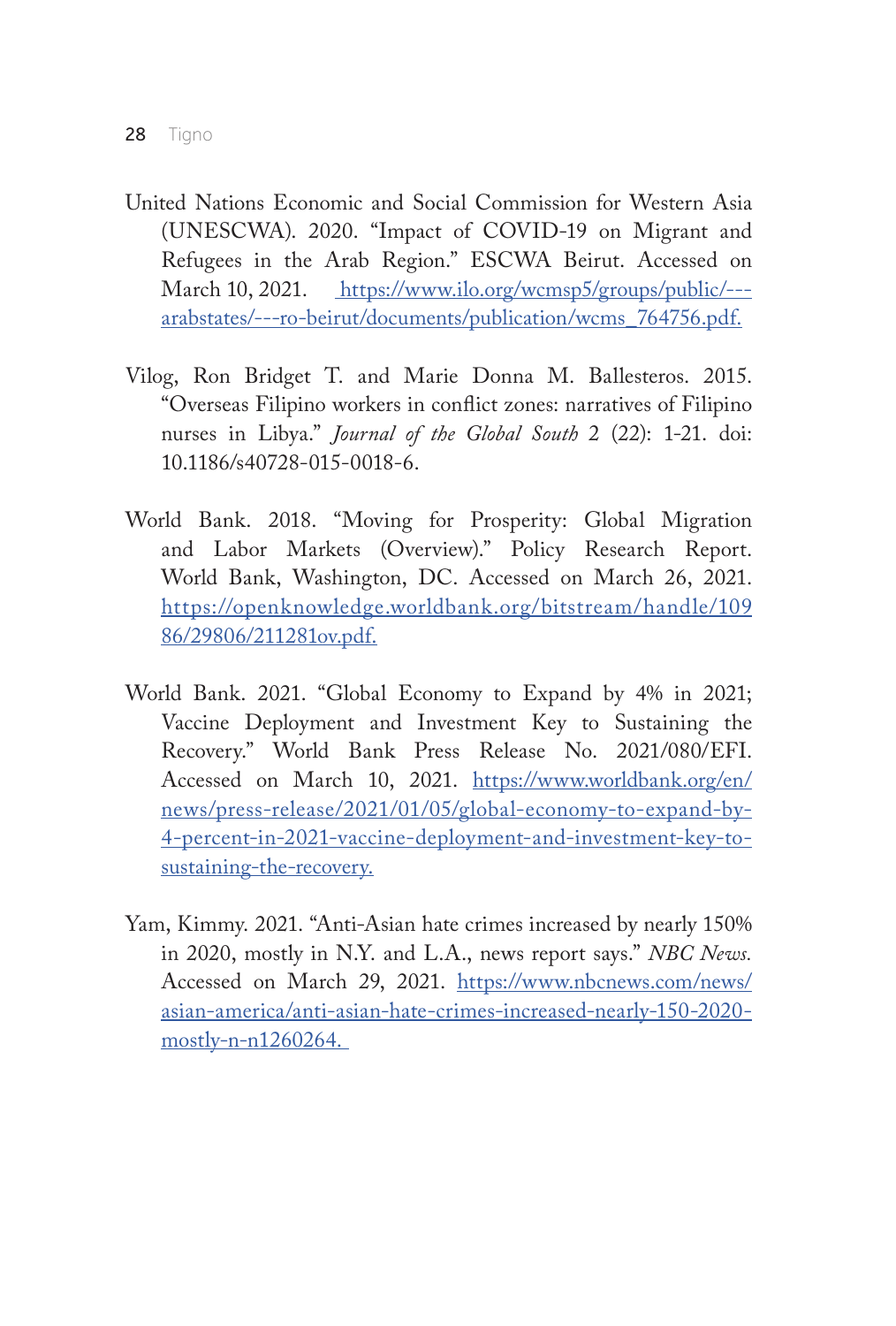- United Nations Economic and Social Commission for Western Asia (UNESCWA). 2020. "Impact of COVID-19 on Migrant and Refugees in the Arab Region." ESCWA Beirut. Accessed on March 10, 2021. https://www.ilo.org/wcmsp5/groups/public/--arabstates/---ro-beirut/documents/publication/wcms\_764756.pdf.
- Vilog, Ron Bridget T. and Marie Donna M. Ballesteros. 2015. "Overseas Filipino workers in conflict zones: narratives of Filipino nurses in Libya." *Journal of the Global South* 2 (22): 1-21. doi: 10.1186/s40728-015-0018-6.
- World Bank. 2018. "Moving for Prosperity: Global Migration and Labor Markets (Overview)." Policy Research Report. World Bank, Washington, DC. Accessed on March 26, 2021. https://openknowledge.worldbank.org/bitstream/handle/109 86/29806/211281ov.pdf.
- World Bank. 2021. "Global Economy to Expand by 4% in 2021; Vaccine Deployment and Investment Key to Sustaining the Recovery." World Bank Press Release No. 2021/080/EFI. Accessed on March 10, 2021. https://www.worldbank.org/en/ news/press-release/2021/01/05/global-economy-to-expand-by-4-percent-in-2021-vaccine-deployment-and-investment-key-tosustaining-the-recovery.
- Yam, Kimmy. 2021. "Anti-Asian hate crimes increased by nearly 150% in 2020, mostly in N.Y. and L.A., news report says." *NBC News.* Accessed on March 29, 2021. https://www.nbcnews.com/news/ asian-america/anti-asian-hate-crimes-increased-nearly-150-2020 mostly-n-n1260264.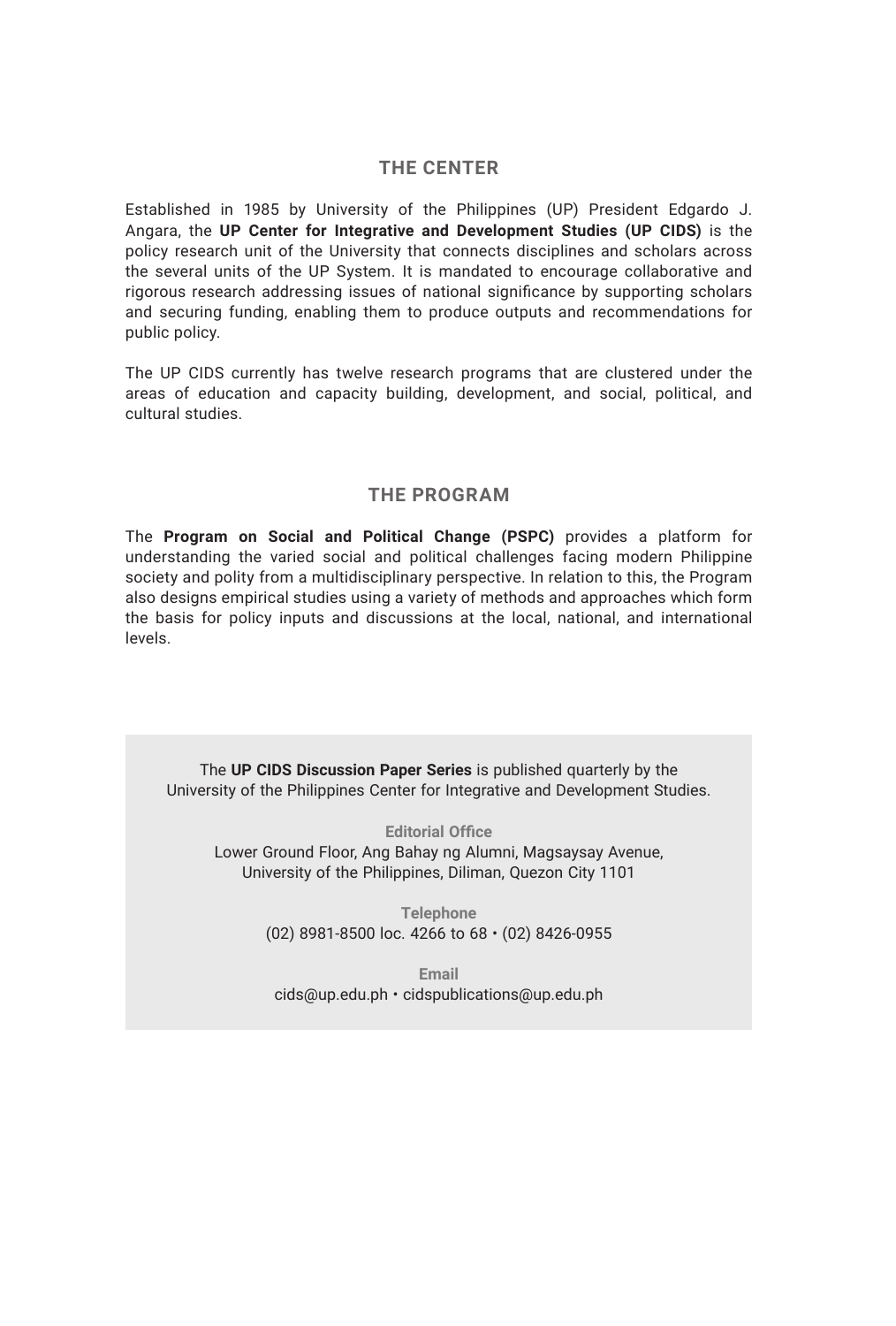#### **THE CENTER**

Established in 1985 by University of the Philippines (UP) President Edgardo J. Angara, the **UP Center for Integrative and Development Studies (UP CIDS)** is the policy research unit of the University that connects disciplines and scholars across the several units of the UP System. It is mandated to encourage collaborative and rigorous research addressing issues of national significance by supporting scholars and securing funding, enabling them to produce outputs and recommendations for public policy.

The UP CIDS currently has twelve research programs that are clustered under the areas of education and capacity building, development, and social, political, and cultural studies.

#### **THE PROGRAM**

The **Program on Social and Political Change (PSPC)** provides a platform for understanding the varied social and political challenges facing modern Philippine society and polity from a multidisciplinary perspective. In relation to this, the Program also designs empirical studies using a variety of methods and approaches which form the basis for policy inputs and discussions at the local, national, and international levels.

The **UP CIDS Discussion Paper Series** is published quarterly by the University of the Philippines Center for Integrative and Development Studies.

**Editorial Office** Lower Ground Floor, Ang Bahay ng Alumni, Magsaysay Avenue, University of the Philippines, Diliman, Quezon City 1101

> **Telephone** (02) 8981-8500 loc. 4266 to 68 • (02) 8426-0955

**Email** cids@up.edu.ph • cidspublications@up.edu.ph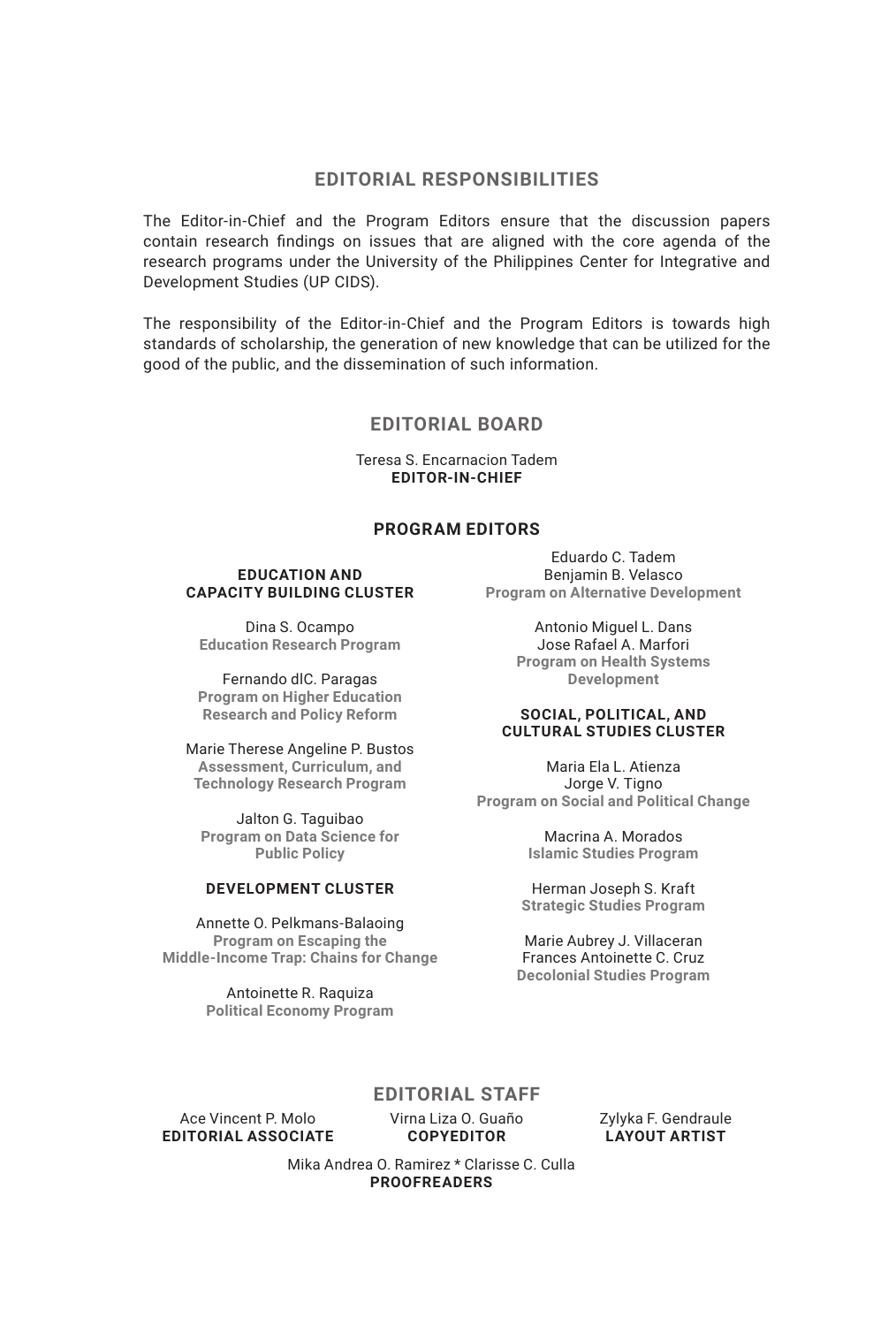#### **EDITORIAL RESPONSIBILITIES**

The Editor-in-Chief and the Program Editors ensure that the discussion papers contain research findings on issues that are aligned with the core agenda of the research programs under the University of the Philippines Center for Integrative and Development Studies (UP CIDS).

The responsibility of the Editor-in-Chief and the Program Editors is towards high standards of scholarship, the generation of new knowledge that can be utilized for the good of the public, and the dissemination of such information.

#### **EDITORIAL BOARD**

Teresa S. Encarnacion Tadem **EDITOR-IN-CHIEF**

#### **PROGRAM EDITORS**

#### **EDUCATION AND CAPACITY BUILDING CLUSTER**

Dina S. Ocampo **Education Research Program**

Fernando dlC. Paragas **Program on Higher Education Research and Policy Reform**

Marie Therese Angeline P. Bustos **Assessment, Curriculum, and Technology Research Program**

Jalton G. Taguibao **Program on Data Science for Public Policy**

#### **DEVELOPMENT CLUSTER**

Annette O. Pelkmans-Balaoing **Program on Escaping the Middle-Income Trap: Chains for Change**

> Antoinette R. Raquiza **Political Economy Program**

Eduardo C. Tadem Benjamin B. Velasco **Program on Alternative Development**

> Antonio Miguel L. Dans Jose Rafael A. Marfori **Program on Health Systems Development**

#### **SOCIAL, POLITICAL, AND CULTURAL STUDIES CLUSTER**

Maria Ela L. Atienza Jorge V. Tigno **Program on Social and Political Change**

> Macrina A. Morados **Islamic Studies Program**

Herman Joseph S. Kraft **Strategic Studies Program**

Marie Aubrey J. Villaceran Frances Antoinette C. Cruz **Decolonial Studies Program**

#### **EDITORIAL STAFF**

Ace Vincent P. Molo **EDITORIAL ASSOCIATE** Virna Liza O. Guaño **COPYEDITOR**

Zylyka F. Gendraule **LAYOUT ARTIST**

Mika Andrea O. Ramirez \* Clarisse C. Culla **PROOFREADERS**